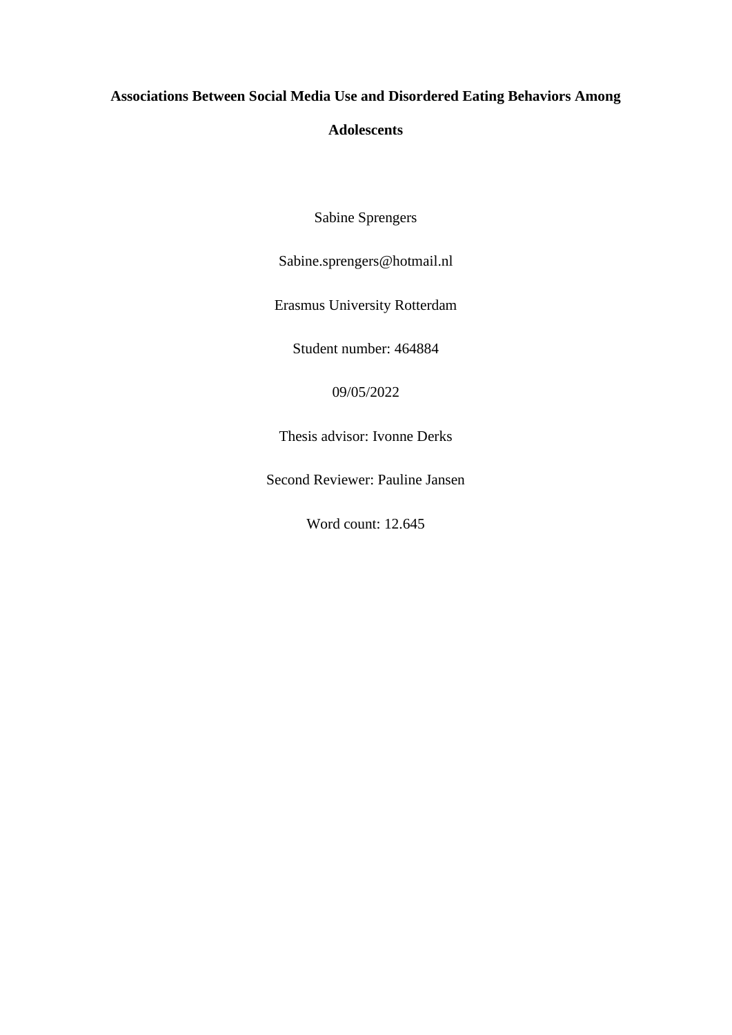## **Associations Between Social Media Use and Disordered Eating Behaviors Among**

## **Adolescents**

Sabine Sprengers

Sabine.sprengers@hotmail.nl

Erasmus University Rotterdam

Student number: 464884

09/05/2022

Thesis advisor: Ivonne Derks

Second Reviewer: Pauline Jansen

Word count: 12.645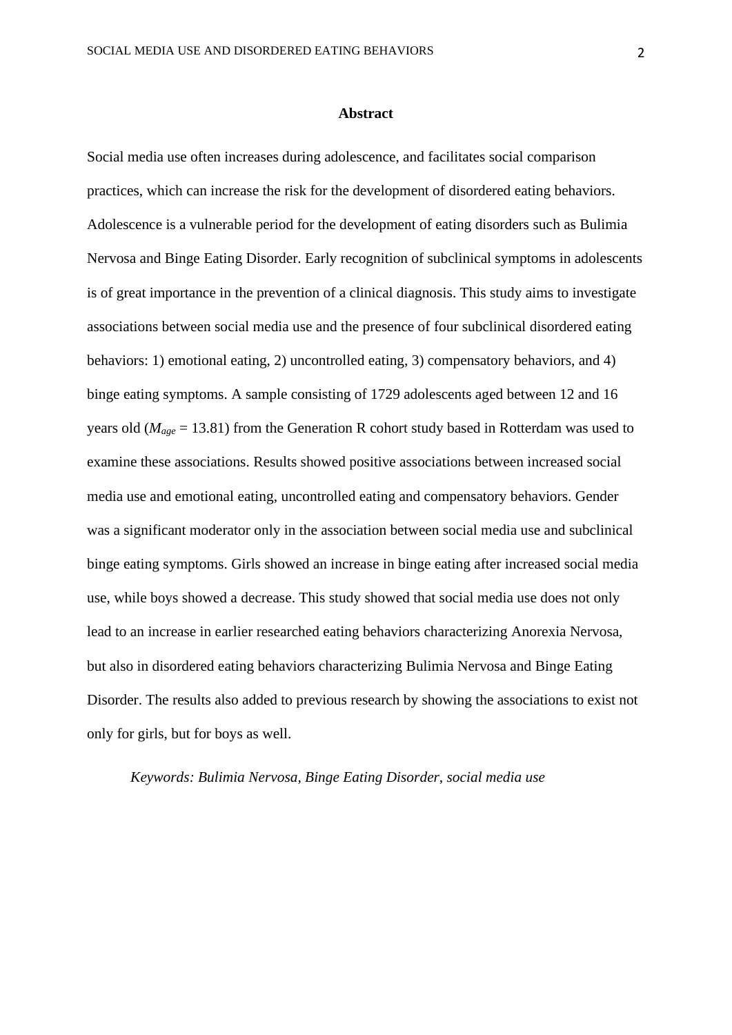#### **Abstract**

Social media use often increases during adolescence, and facilitates social comparison practices, which can increase the risk for the development of disordered eating behaviors. Adolescence is a vulnerable period for the development of eating disorders such as Bulimia Nervosa and Binge Eating Disorder. Early recognition of subclinical symptoms in adolescents is of great importance in the prevention of a clinical diagnosis. This study aims to investigate associations between social media use and the presence of four subclinical disordered eating behaviors: 1) emotional eating, 2) uncontrolled eating, 3) compensatory behaviors, and 4) binge eating symptoms. A sample consisting of 1729 adolescents aged between 12 and 16 years old (*Mage* = 13.81) from the Generation R cohort study based in Rotterdam was used to examine these associations. Results showed positive associations between increased social media use and emotional eating, uncontrolled eating and compensatory behaviors. Gender was a significant moderator only in the association between social media use and subclinical binge eating symptoms. Girls showed an increase in binge eating after increased social media use, while boys showed a decrease. This study showed that social media use does not only lead to an increase in earlier researched eating behaviors characterizing Anorexia Nervosa, but also in disordered eating behaviors characterizing Bulimia Nervosa and Binge Eating Disorder. The results also added to previous research by showing the associations to exist not only for girls, but for boys as well.

#### *Keywords: Bulimia Nervosa, Binge Eating Disorder, social media use*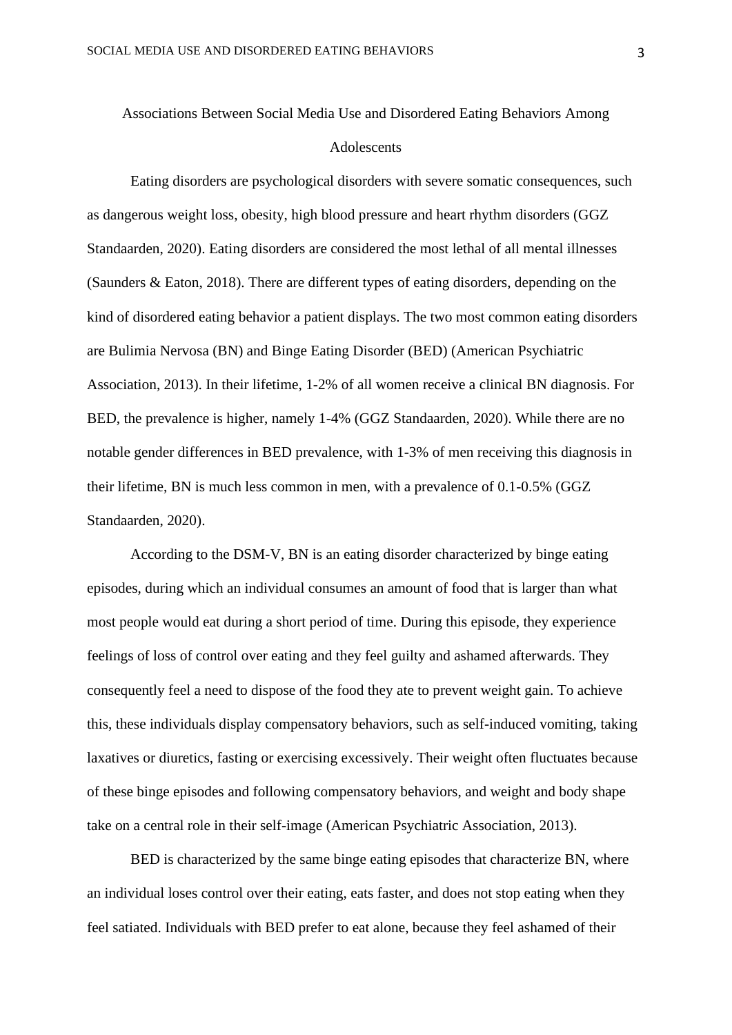# Associations Between Social Media Use and Disordered Eating Behaviors Among Adolescents

Eating disorders are psychological disorders with severe somatic consequences, such as dangerous weight loss, obesity, high blood pressure and heart rhythm disorders (GGZ Standaarden, 2020). Eating disorders are considered the most lethal of all mental illnesses (Saunders & Eaton, 2018). There are different types of eating disorders, depending on the kind of disordered eating behavior a patient displays. The two most common eating disorders are Bulimia Nervosa (BN) and Binge Eating Disorder (BED) (American Psychiatric Association, 2013). In their lifetime, 1-2% of all women receive a clinical BN diagnosis. For BED, the prevalence is higher, namely 1-4% (GGZ Standaarden, 2020). While there are no notable gender differences in BED prevalence, with 1-3% of men receiving this diagnosis in their lifetime, BN is much less common in men, with a prevalence of 0.1-0.5% (GGZ Standaarden, 2020).

According to the DSM-V, BN is an eating disorder characterized by binge eating episodes, during which an individual consumes an amount of food that is larger than what most people would eat during a short period of time. During this episode, they experience feelings of loss of control over eating and they feel guilty and ashamed afterwards. They consequently feel a need to dispose of the food they ate to prevent weight gain. To achieve this, these individuals display compensatory behaviors, such as self-induced vomiting, taking laxatives or diuretics, fasting or exercising excessively. Their weight often fluctuates because of these binge episodes and following compensatory behaviors, and weight and body shape take on a central role in their self-image (American Psychiatric Association, 2013).

BED is characterized by the same binge eating episodes that characterize BN, where an individual loses control over their eating, eats faster, and does not stop eating when they feel satiated. Individuals with BED prefer to eat alone, because they feel ashamed of their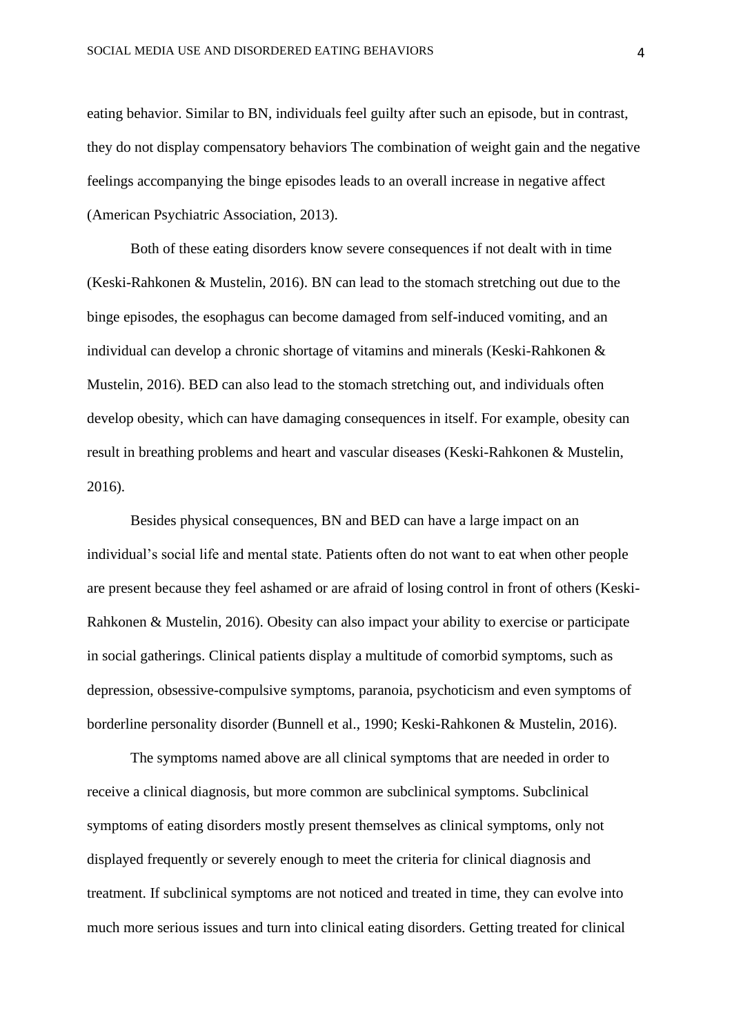eating behavior. Similar to BN, individuals feel guilty after such an episode, but in contrast, they do not display compensatory behaviors The combination of weight gain and the negative feelings accompanying the binge episodes leads to an overall increase in negative affect (American Psychiatric Association, 2013).

Both of these eating disorders know severe consequences if not dealt with in time (Keski-Rahkonen & Mustelin, 2016). BN can lead to the stomach stretching out due to the binge episodes, the esophagus can become damaged from self-induced vomiting, and an individual can develop a chronic shortage of vitamins and minerals (Keski-Rahkonen & Mustelin, 2016). BED can also lead to the stomach stretching out, and individuals often develop obesity, which can have damaging consequences in itself. For example, obesity can result in breathing problems and heart and vascular diseases (Keski-Rahkonen & Mustelin, 2016).

Besides physical consequences, BN and BED can have a large impact on an individual's social life and mental state. Patients often do not want to eat when other people are present because they feel ashamed or are afraid of losing control in front of others (Keski-Rahkonen & Mustelin, 2016). Obesity can also impact your ability to exercise or participate in social gatherings. Clinical patients display a multitude of comorbid symptoms, such as depression, obsessive-compulsive symptoms, paranoia, psychoticism and even symptoms of borderline personality disorder (Bunnell et al., 1990; Keski-Rahkonen & Mustelin, 2016).

The symptoms named above are all clinical symptoms that are needed in order to receive a clinical diagnosis, but more common are subclinical symptoms. Subclinical symptoms of eating disorders mostly present themselves as clinical symptoms, only not displayed frequently or severely enough to meet the criteria for clinical diagnosis and treatment. If subclinical symptoms are not noticed and treated in time, they can evolve into much more serious issues and turn into clinical eating disorders. Getting treated for clinical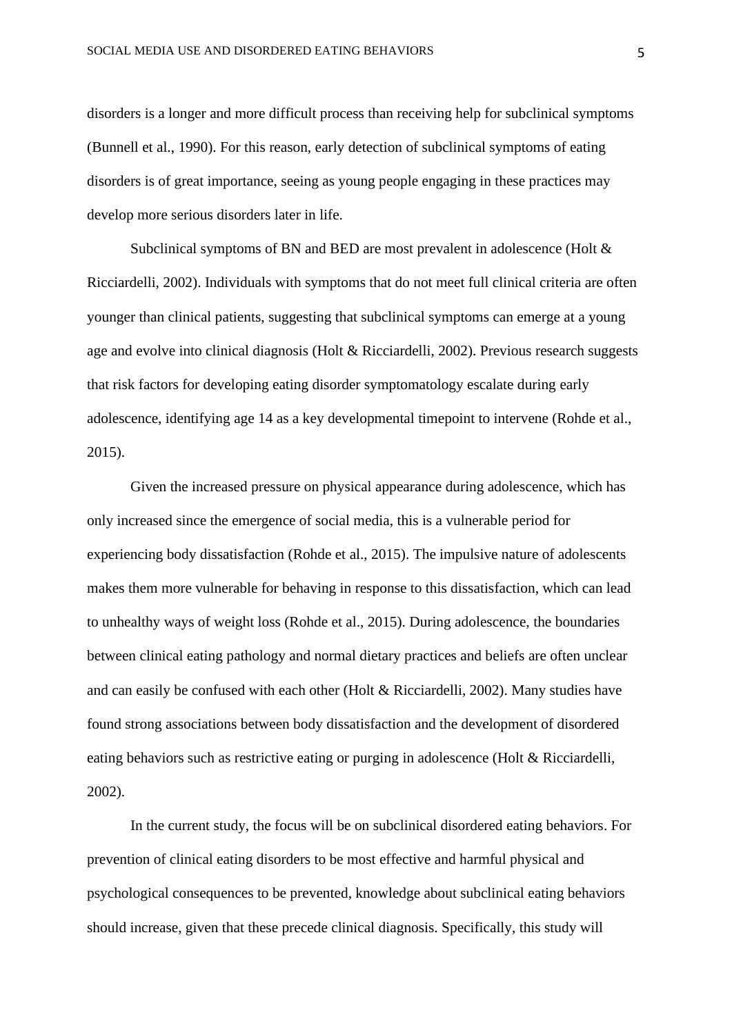disorders is a longer and more difficult process than receiving help for subclinical symptoms (Bunnell et al., 1990). For this reason, early detection of subclinical symptoms of eating disorders is of great importance, seeing as young people engaging in these practices may develop more serious disorders later in life.

Subclinical symptoms of BN and BED are most prevalent in adolescence (Holt & Ricciardelli, 2002). Individuals with symptoms that do not meet full clinical criteria are often younger than clinical patients, suggesting that subclinical symptoms can emerge at a young age and evolve into clinical diagnosis (Holt & Ricciardelli, 2002). Previous research suggests that risk factors for developing eating disorder symptomatology escalate during early adolescence, identifying age 14 as a key developmental timepoint to intervene (Rohde et al., 2015).

Given the increased pressure on physical appearance during adolescence, which has only increased since the emergence of social media, this is a vulnerable period for experiencing body dissatisfaction (Rohde et al., 2015). The impulsive nature of adolescents makes them more vulnerable for behaving in response to this dissatisfaction, which can lead to unhealthy ways of weight loss (Rohde et al., 2015). During adolescence, the boundaries between clinical eating pathology and normal dietary practices and beliefs are often unclear and can easily be confused with each other (Holt & Ricciardelli, 2002). Many studies have found strong associations between body dissatisfaction and the development of disordered eating behaviors such as restrictive eating or purging in adolescence (Holt & Ricciardelli, 2002).

In the current study, the focus will be on subclinical disordered eating behaviors. For prevention of clinical eating disorders to be most effective and harmful physical and psychological consequences to be prevented, knowledge about subclinical eating behaviors should increase, given that these precede clinical diagnosis. Specifically, this study will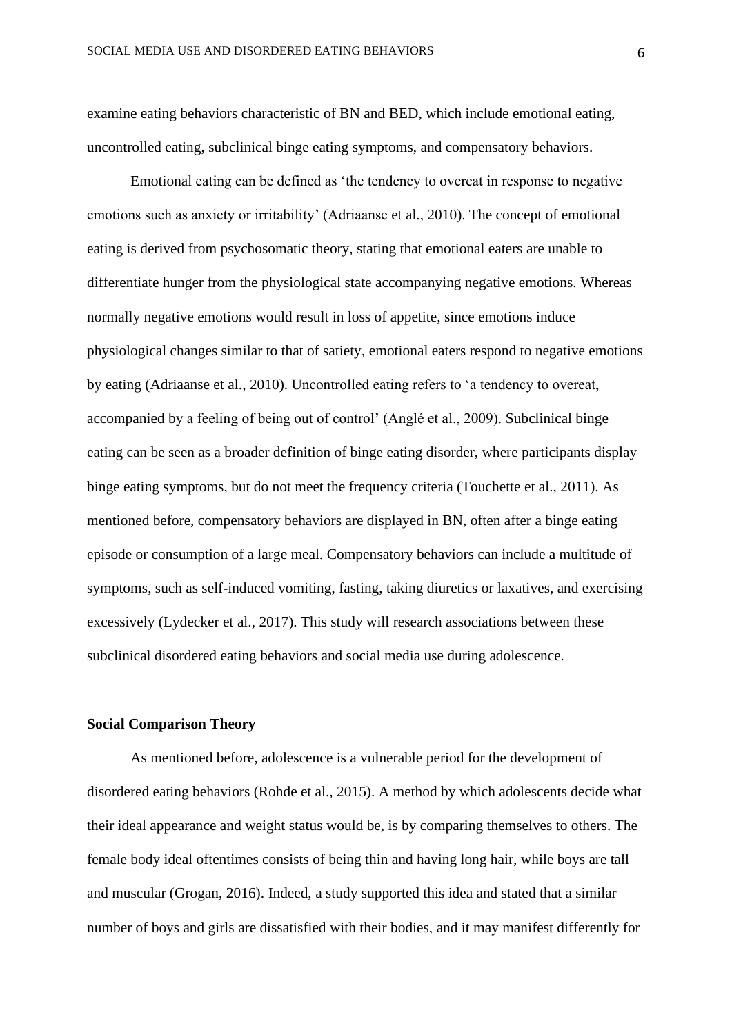examine eating behaviors characteristic of BN and BED, which include emotional eating, uncontrolled eating, subclinical binge eating symptoms, and compensatory behaviors.

Emotional eating can be defined as 'the tendency to overeat in response to negative emotions such as anxiety or irritability' (Adriaanse et al., 2010). The concept of emotional eating is derived from psychosomatic theory, stating that emotional eaters are unable to differentiate hunger from the physiological state accompanying negative emotions. Whereas normally negative emotions would result in loss of appetite, since emotions induce physiological changes similar to that of satiety, emotional eaters respond to negative emotions by eating (Adriaanse et al., 2010). Uncontrolled eating refers to 'a tendency to overeat, accompanied by a feeling of being out of control' (Anglé et al., 2009). Subclinical binge eating can be seen as a broader definition of binge eating disorder, where participants display binge eating symptoms, but do not meet the frequency criteria (Touchette et al., 2011). As mentioned before, compensatory behaviors are displayed in BN, often after a binge eating episode or consumption of a large meal. Compensatory behaviors can include a multitude of symptoms, such as self-induced vomiting, fasting, taking diuretics or laxatives, and exercising excessively (Lydecker et al., 2017). This study will research associations between these subclinical disordered eating behaviors and social media use during adolescence.

#### **Social Comparison Theory**

As mentioned before, adolescence is a vulnerable period for the development of disordered eating behaviors (Rohde et al., 2015). A method by which adolescents decide what their ideal appearance and weight status would be, is by comparing themselves to others. The female body ideal oftentimes consists of being thin and having long hair, while boys are tall and muscular (Grogan, 2016). Indeed, a study supported this idea and stated that a similar number of boys and girls are dissatisfied with their bodies, and it may manifest differently for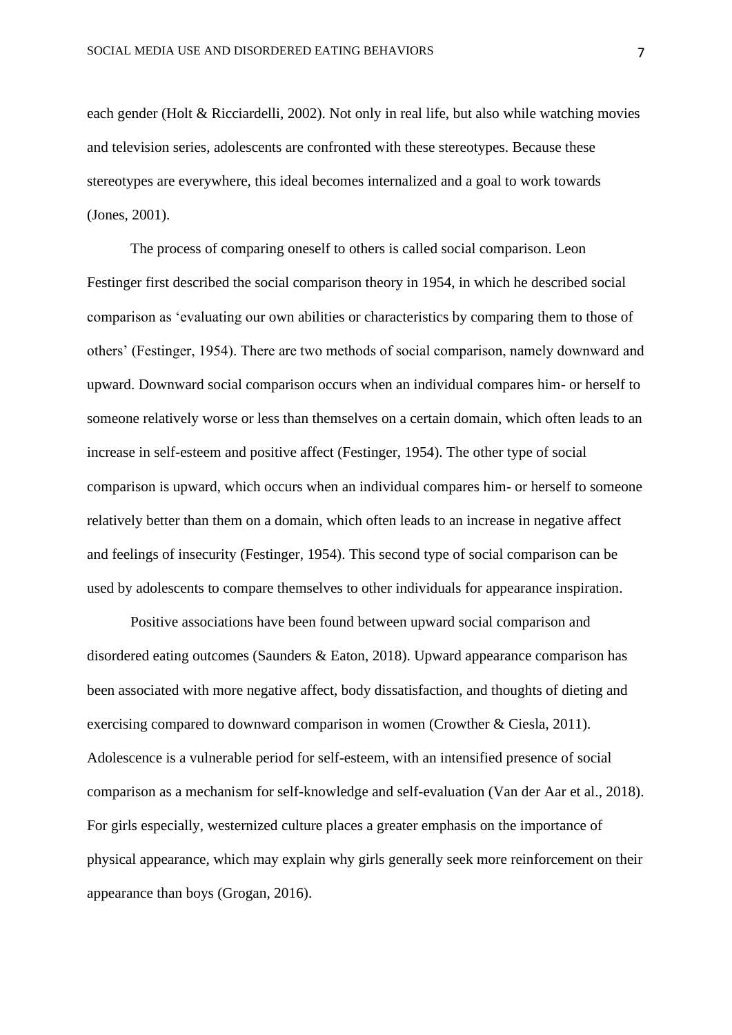each gender (Holt & Ricciardelli, 2002). Not only in real life, but also while watching movies and television series, adolescents are confronted with these stereotypes. Because these stereotypes are everywhere, this ideal becomes internalized and a goal to work towards (Jones, 2001).

The process of comparing oneself to others is called social comparison. Leon Festinger first described the social comparison theory in 1954, in which he described social comparison as 'evaluating our own abilities or characteristics by comparing them to those of others' (Festinger, 1954). There are two methods of social comparison, namely downward and upward. Downward social comparison occurs when an individual compares him- or herself to someone relatively worse or less than themselves on a certain domain, which often leads to an increase in self-esteem and positive affect (Festinger, 1954). The other type of social comparison is upward, which occurs when an individual compares him- or herself to someone relatively better than them on a domain, which often leads to an increase in negative affect and feelings of insecurity (Festinger, 1954). This second type of social comparison can be used by adolescents to compare themselves to other individuals for appearance inspiration.

Positive associations have been found between upward social comparison and disordered eating outcomes (Saunders & Eaton, 2018). Upward appearance comparison has been associated with more negative affect, body dissatisfaction, and thoughts of dieting and exercising compared to downward comparison in women (Crowther & Ciesla, 2011). Adolescence is a vulnerable period for self-esteem, with an intensified presence of social comparison as a mechanism for self-knowledge and self-evaluation (Van der Aar et al., 2018). For girls especially, westernized culture places a greater emphasis on the importance of physical appearance, which may explain why girls generally seek more reinforcement on their appearance than boys (Grogan, 2016).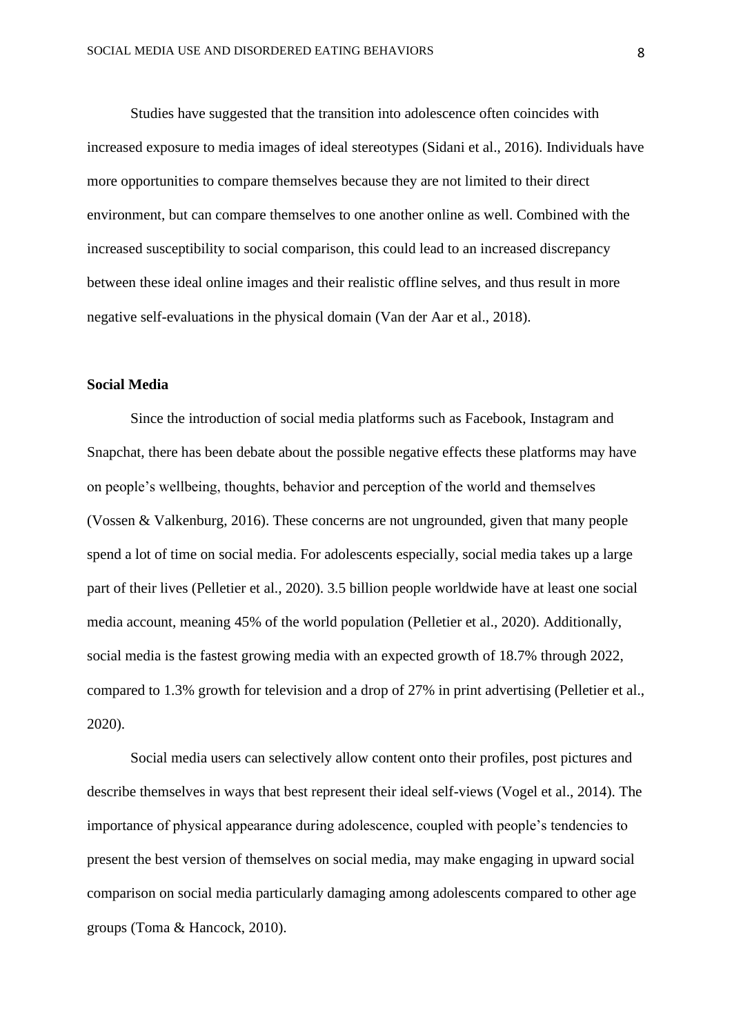Studies have suggested that the transition into adolescence often coincides with increased exposure to media images of ideal stereotypes (Sidani et al., 2016). Individuals have more opportunities to compare themselves because they are not limited to their direct environment, but can compare themselves to one another online as well. Combined with the increased susceptibility to social comparison, this could lead to an increased discrepancy between these ideal online images and their realistic offline selves, and thus result in more negative self-evaluations in the physical domain (Van der Aar et al., 2018).

#### **Social Media**

Since the introduction of social media platforms such as Facebook, Instagram and Snapchat, there has been debate about the possible negative effects these platforms may have on people's wellbeing, thoughts, behavior and perception of the world and themselves (Vossen & Valkenburg, 2016). These concerns are not ungrounded, given that many people spend a lot of time on social media. For adolescents especially, social media takes up a large part of their lives (Pelletier et al., 2020). 3.5 billion people worldwide have at least one social media account, meaning 45% of the world population (Pelletier et al., 2020). Additionally, social media is the fastest growing media with an expected growth of 18.7% through 2022, compared to 1.3% growth for television and a drop of 27% in print advertising (Pelletier et al., 2020).

Social media users can selectively allow content onto their profiles, post pictures and describe themselves in ways that best represent their ideal self-views (Vogel et al., 2014). The importance of physical appearance during adolescence, coupled with people's tendencies to present the best version of themselves on social media, may make engaging in upward social comparison on social media particularly damaging among adolescents compared to other age groups (Toma & Hancock, 2010).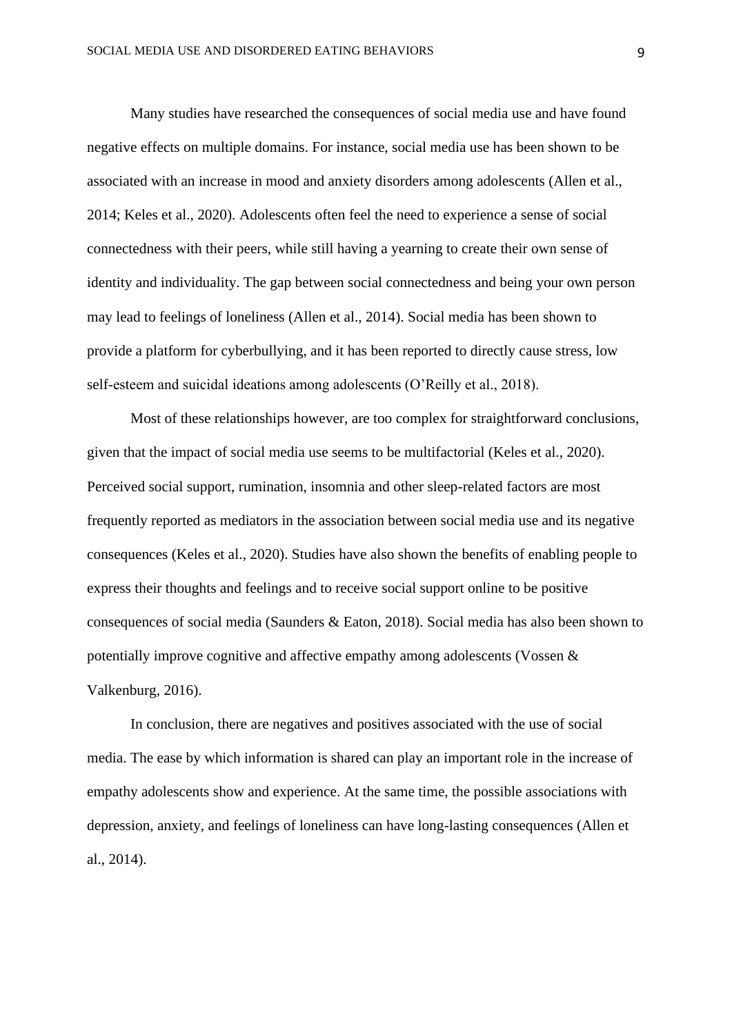Many studies have researched the consequences of social media use and have found negative effects on multiple domains. For instance, social media use has been shown to be associated with an increase in mood and anxiety disorders among adolescents (Allen et al., 2014; Keles et al., 2020). Adolescents often feel the need to experience a sense of social connectedness with their peers, while still having a yearning to create their own sense of identity and individuality. The gap between social connectedness and being your own person may lead to feelings of loneliness (Allen et al., 2014). Social media has been shown to provide a platform for cyberbullying, and it has been reported to directly cause stress, low self-esteem and suicidal ideations among adolescents (O'Reilly et al., 2018).

Most of these relationships however, are too complex for straightforward conclusions, given that the impact of social media use seems to be multifactorial (Keles et al., 2020). Perceived social support, rumination, insomnia and other sleep-related factors are most frequently reported as mediators in the association between social media use and its negative consequences (Keles et al., 2020). Studies have also shown the benefits of enabling people to express their thoughts and feelings and to receive social support online to be positive consequences of social media (Saunders & Eaton, 2018). Social media has also been shown to potentially improve cognitive and affective empathy among adolescents (Vossen & Valkenburg, 2016).

In conclusion, there are negatives and positives associated with the use of social media. The ease by which information is shared can play an important role in the increase of empathy adolescents show and experience. At the same time, the possible associations with depression, anxiety, and feelings of loneliness can have long-lasting consequences (Allen et al., 2014).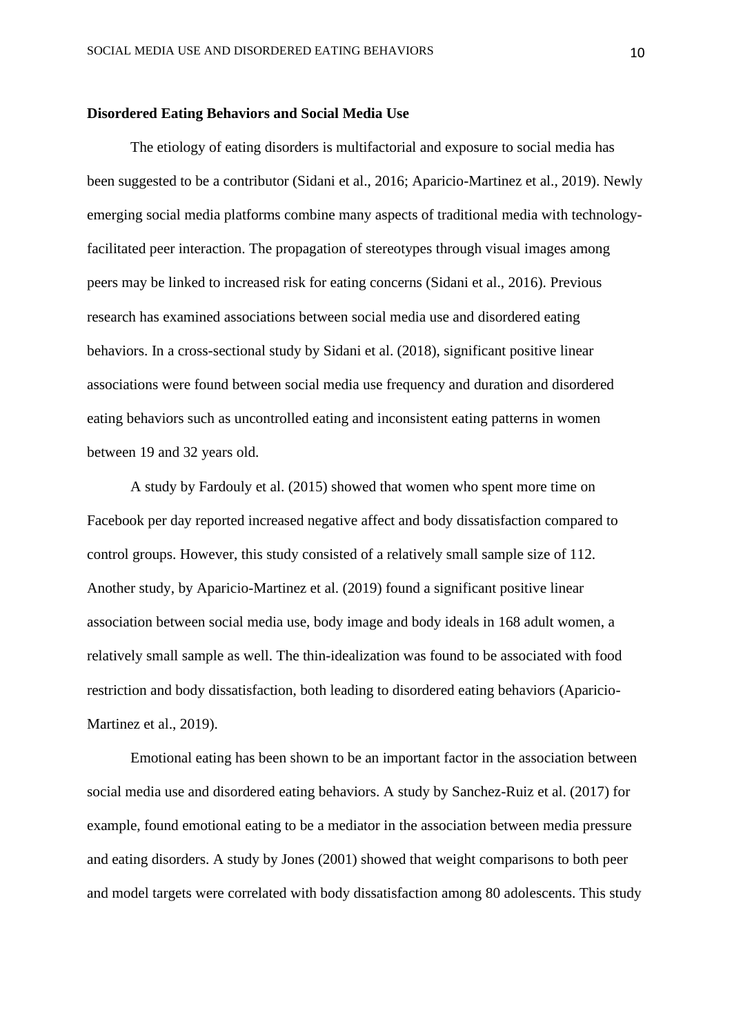#### **Disordered Eating Behaviors and Social Media Use**

The etiology of eating disorders is multifactorial and exposure to social media has been suggested to be a contributor (Sidani et al., 2016; Aparicio-Martinez et al., 2019). Newly emerging social media platforms combine many aspects of traditional media with technologyfacilitated peer interaction. The propagation of stereotypes through visual images among peers may be linked to increased risk for eating concerns (Sidani et al., 2016). Previous research has examined associations between social media use and disordered eating behaviors. In a cross-sectional study by Sidani et al. (2018), significant positive linear associations were found between social media use frequency and duration and disordered eating behaviors such as uncontrolled eating and inconsistent eating patterns in women between 19 and 32 years old.

A study by Fardouly et al. (2015) showed that women who spent more time on Facebook per day reported increased negative affect and body dissatisfaction compared to control groups. However, this study consisted of a relatively small sample size of 112. Another study, by Aparicio-Martinez et al. (2019) found a significant positive linear association between social media use, body image and body ideals in 168 adult women, a relatively small sample as well. The thin-idealization was found to be associated with food restriction and body dissatisfaction, both leading to disordered eating behaviors (Aparicio-Martinez et al., 2019).

Emotional eating has been shown to be an important factor in the association between social media use and disordered eating behaviors. A study by Sanchez-Ruiz et al. (2017) for example, found emotional eating to be a mediator in the association between media pressure and eating disorders. A study by Jones (2001) showed that weight comparisons to both peer and model targets were correlated with body dissatisfaction among 80 adolescents. This study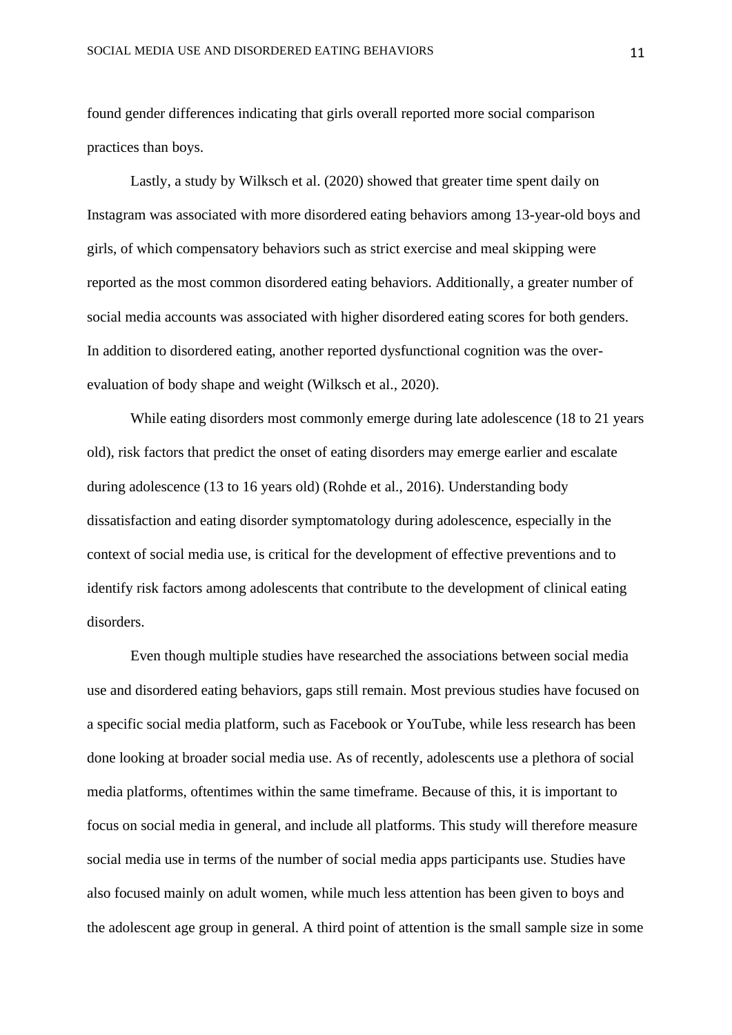found gender differences indicating that girls overall reported more social comparison practices than boys.

Lastly, a study by Wilksch et al. (2020) showed that greater time spent daily on Instagram was associated with more disordered eating behaviors among 13-year-old boys and girls, of which compensatory behaviors such as strict exercise and meal skipping were reported as the most common disordered eating behaviors. Additionally, a greater number of social media accounts was associated with higher disordered eating scores for both genders. In addition to disordered eating, another reported dysfunctional cognition was the overevaluation of body shape and weight (Wilksch et al., 2020).

While eating disorders most commonly emerge during late adolescence (18 to 21 years old), risk factors that predict the onset of eating disorders may emerge earlier and escalate during adolescence (13 to 16 years old) (Rohde et al., 2016). Understanding body dissatisfaction and eating disorder symptomatology during adolescence, especially in the context of social media use, is critical for the development of effective preventions and to identify risk factors among adolescents that contribute to the development of clinical eating disorders.

Even though multiple studies have researched the associations between social media use and disordered eating behaviors, gaps still remain. Most previous studies have focused on a specific social media platform, such as Facebook or YouTube, while less research has been done looking at broader social media use. As of recently, adolescents use a plethora of social media platforms, oftentimes within the same timeframe. Because of this, it is important to focus on social media in general, and include all platforms. This study will therefore measure social media use in terms of the number of social media apps participants use. Studies have also focused mainly on adult women, while much less attention has been given to boys and the adolescent age group in general. A third point of attention is the small sample size in some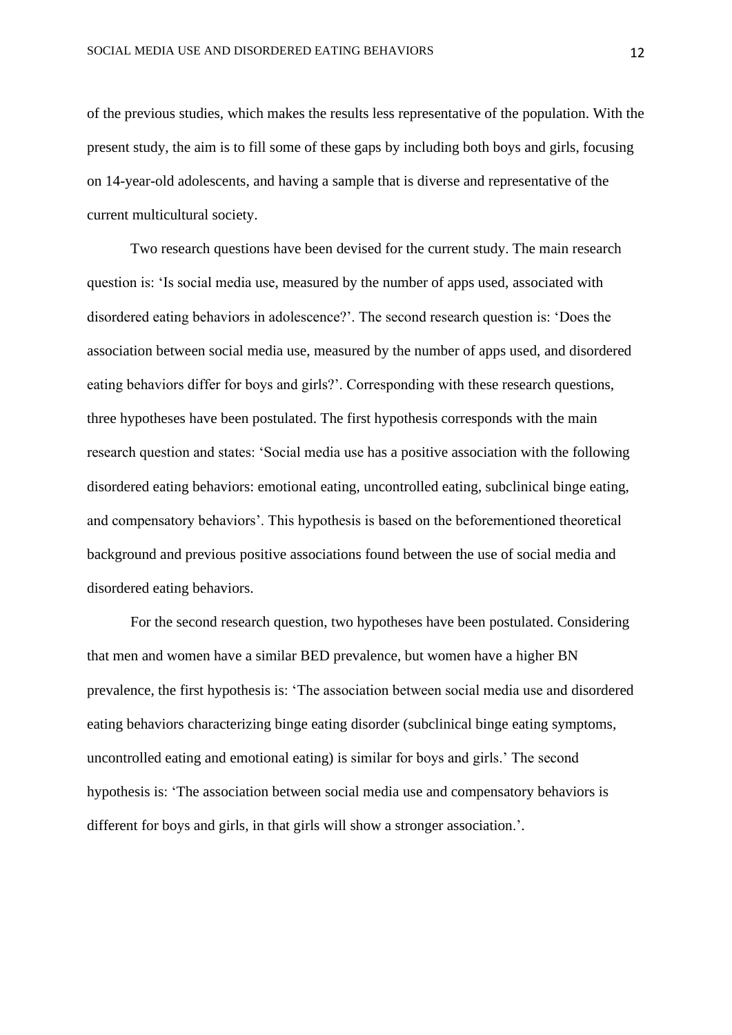of the previous studies, which makes the results less representative of the population. With the present study, the aim is to fill some of these gaps by including both boys and girls, focusing on 14-year-old adolescents, and having a sample that is diverse and representative of the current multicultural society.

Two research questions have been devised for the current study. The main research question is: 'Is social media use, measured by the number of apps used, associated with disordered eating behaviors in adolescence?'. The second research question is: 'Does the association between social media use, measured by the number of apps used, and disordered eating behaviors differ for boys and girls?'. Corresponding with these research questions, three hypotheses have been postulated. The first hypothesis corresponds with the main research question and states: 'Social media use has a positive association with the following disordered eating behaviors: emotional eating, uncontrolled eating, subclinical binge eating, and compensatory behaviors'. This hypothesis is based on the beforementioned theoretical background and previous positive associations found between the use of social media and disordered eating behaviors.

For the second research question, two hypotheses have been postulated. Considering that men and women have a similar BED prevalence, but women have a higher BN prevalence, the first hypothesis is: 'The association between social media use and disordered eating behaviors characterizing binge eating disorder (subclinical binge eating symptoms, uncontrolled eating and emotional eating) is similar for boys and girls.' The second hypothesis is: 'The association between social media use and compensatory behaviors is different for boys and girls, in that girls will show a stronger association.'.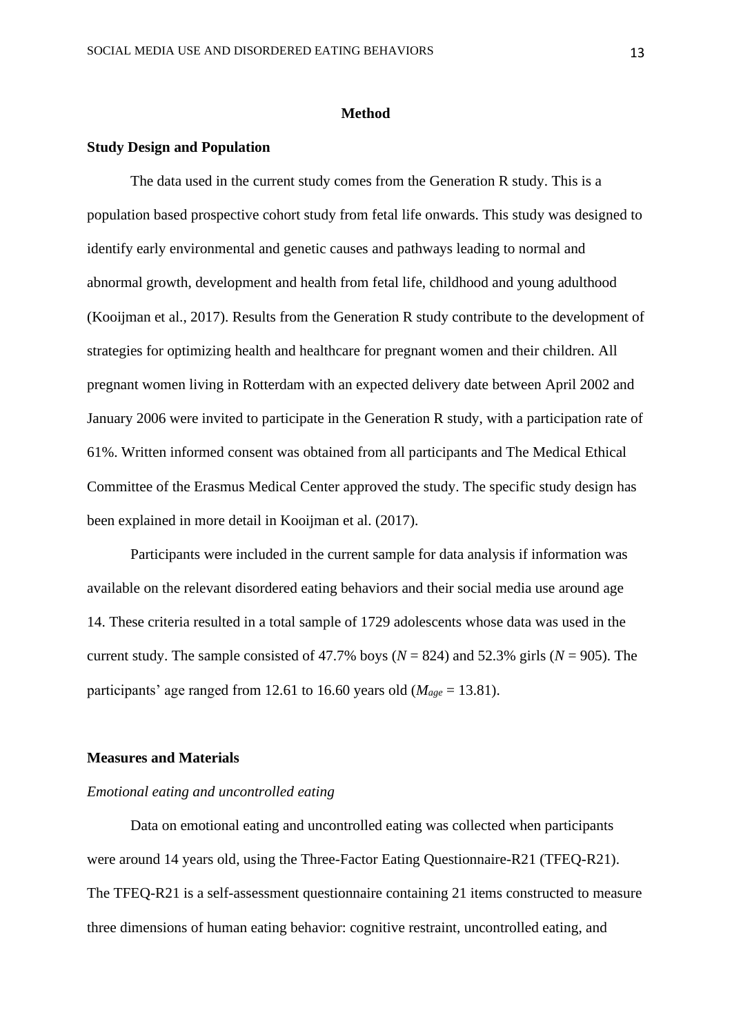#### **Method**

#### **Study Design and Population**

The data used in the current study comes from the Generation R study. This is a population based prospective cohort study from fetal life onwards. This study was designed to identify early environmental and genetic causes and pathways leading to normal and abnormal growth, development and health from fetal life, childhood and young adulthood (Kooijman et al., 2017). Results from the Generation R study contribute to the development of strategies for optimizing health and healthcare for pregnant women and their children. All pregnant women living in Rotterdam with an expected delivery date between April 2002 and January 2006 were invited to participate in the Generation R study, with a participation rate of 61%. Written informed consent was obtained from all participants and The Medical Ethical Committee of the Erasmus Medical Center approved the study. The specific study design has been explained in more detail in Kooijman et al. (2017).

Participants were included in the current sample for data analysis if information was available on the relevant disordered eating behaviors and their social media use around age 14. These criteria resulted in a total sample of 1729 adolescents whose data was used in the current study. The sample consisted of 47.7% boys ( $N = 824$ ) and 52.3% girls ( $N = 905$ ). The participants' age ranged from 12.61 to 16.60 years old  $(M_{\text{age}} = 13.81)$ .

#### **Measures and Materials**

#### *Emotional eating and uncontrolled eating*

Data on emotional eating and uncontrolled eating was collected when participants were around 14 years old, using the Three-Factor Eating Questionnaire-R21 (TFEQ-R21). The TFEQ-R21 is a self-assessment questionnaire containing 21 items constructed to measure three dimensions of human eating behavior: cognitive restraint, uncontrolled eating, and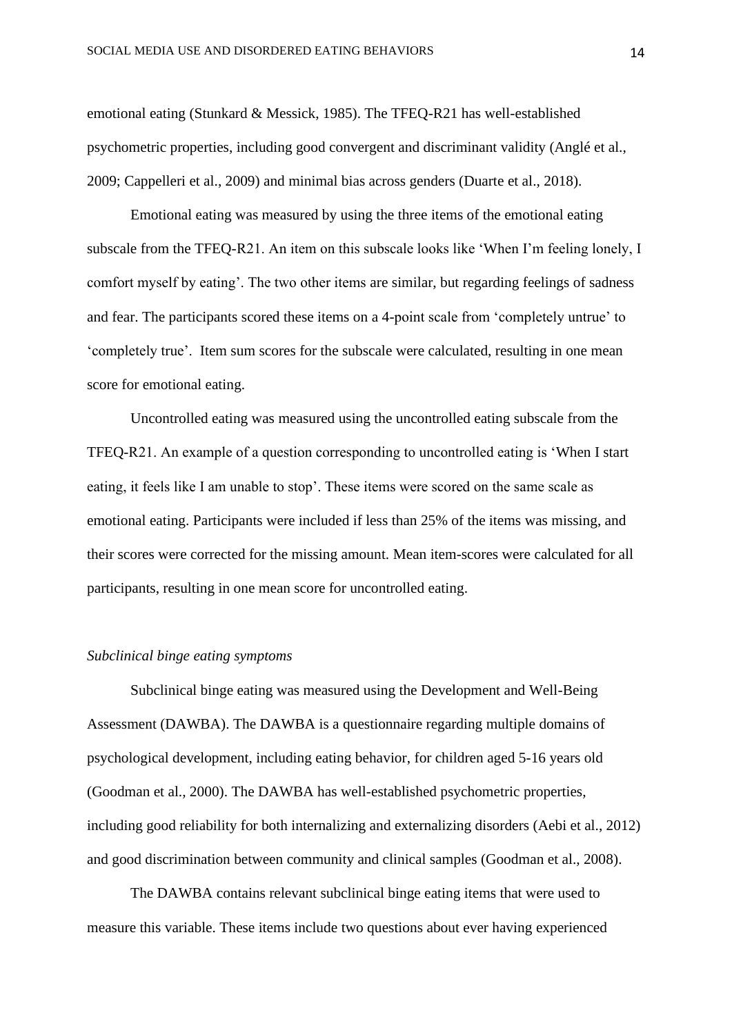emotional eating (Stunkard & Messick, 1985). The TFEQ-R21 has well-established psychometric properties, including good convergent and discriminant validity (Anglé et al., 2009; Cappelleri et al., 2009) and minimal bias across genders (Duarte et al., 2018).

Emotional eating was measured by using the three items of the emotional eating subscale from the TFEQ-R21. An item on this subscale looks like 'When I'm feeling lonely, I comfort myself by eating'. The two other items are similar, but regarding feelings of sadness and fear. The participants scored these items on a 4-point scale from 'completely untrue' to 'completely true'. Item sum scores for the subscale were calculated, resulting in one mean score for emotional eating.

Uncontrolled eating was measured using the uncontrolled eating subscale from the TFEQ-R21. An example of a question corresponding to uncontrolled eating is 'When I start eating, it feels like I am unable to stop'. These items were scored on the same scale as emotional eating. Participants were included if less than 25% of the items was missing, and their scores were corrected for the missing amount. Mean item-scores were calculated for all participants, resulting in one mean score for uncontrolled eating.

#### *Subclinical binge eating symptoms*

Subclinical binge eating was measured using the Development and Well-Being Assessment (DAWBA). The DAWBA is a questionnaire regarding multiple domains of psychological development, including eating behavior, for children aged 5-16 years old (Goodman et al., 2000). The DAWBA has well-established psychometric properties, including good reliability for both internalizing and externalizing disorders (Aebi et al., 2012) and good discrimination between community and clinical samples (Goodman et al., 2008).

The DAWBA contains relevant subclinical binge eating items that were used to measure this variable. These items include two questions about ever having experienced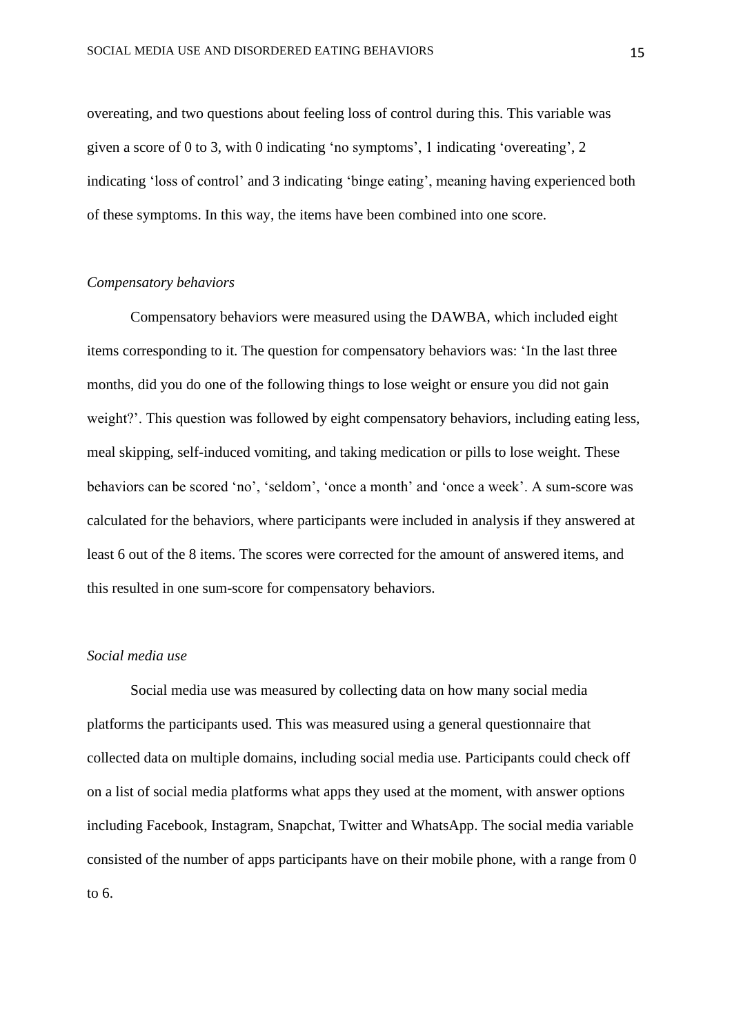overeating, and two questions about feeling loss of control during this. This variable was given a score of 0 to 3, with 0 indicating 'no symptoms', 1 indicating 'overeating', 2 indicating 'loss of control' and 3 indicating 'binge eating', meaning having experienced both of these symptoms. In this way, the items have been combined into one score.

#### *Compensatory behaviors*

Compensatory behaviors were measured using the DAWBA, which included eight items corresponding to it. The question for compensatory behaviors was: 'In the last three months, did you do one of the following things to lose weight or ensure you did not gain weight?'. This question was followed by eight compensatory behaviors, including eating less, meal skipping, self-induced vomiting, and taking medication or pills to lose weight. These behaviors can be scored 'no', 'seldom', 'once a month' and 'once a week'. A sum-score was calculated for the behaviors, where participants were included in analysis if they answered at least 6 out of the 8 items. The scores were corrected for the amount of answered items, and this resulted in one sum-score for compensatory behaviors.

#### *Social media use*

Social media use was measured by collecting data on how many social media platforms the participants used. This was measured using a general questionnaire that collected data on multiple domains, including social media use. Participants could check off on a list of social media platforms what apps they used at the moment, with answer options including Facebook, Instagram, Snapchat, Twitter and WhatsApp. The social media variable consisted of the number of apps participants have on their mobile phone, with a range from 0 to 6.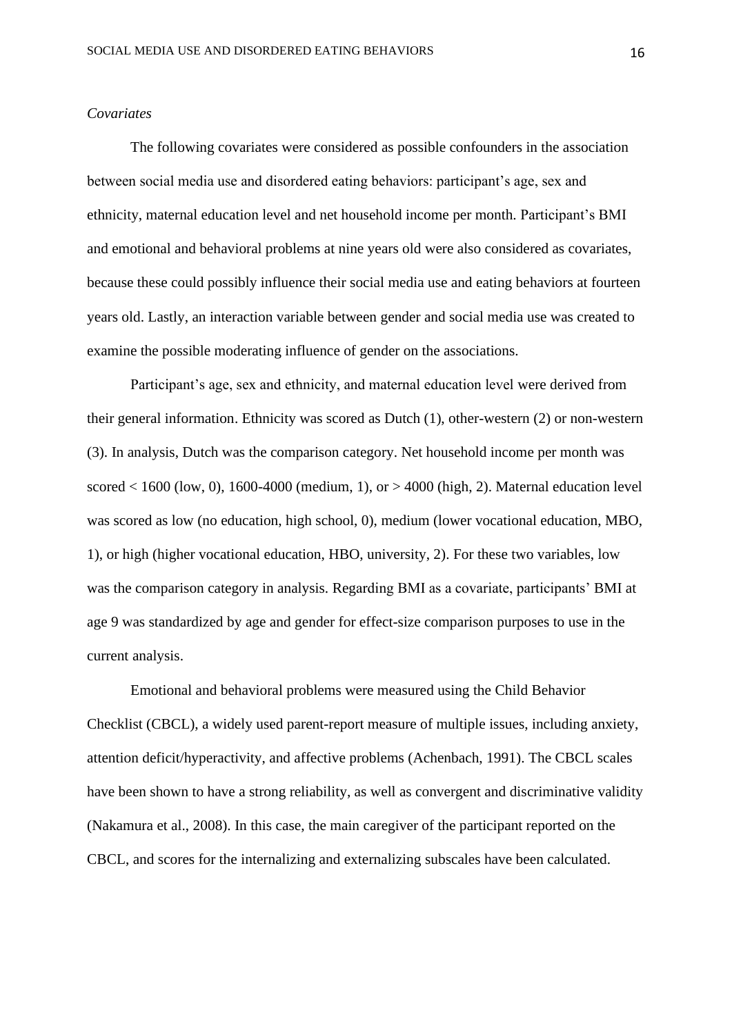#### *Covariates*

The following covariates were considered as possible confounders in the association between social media use and disordered eating behaviors: participant's age, sex and ethnicity, maternal education level and net household income per month. Participant's BMI and emotional and behavioral problems at nine years old were also considered as covariates, because these could possibly influence their social media use and eating behaviors at fourteen years old. Lastly, an interaction variable between gender and social media use was created to examine the possible moderating influence of gender on the associations.

Participant's age, sex and ethnicity, and maternal education level were derived from their general information. Ethnicity was scored as Dutch (1), other-western (2) or non-western (3). In analysis, Dutch was the comparison category. Net household income per month was scored  $< 1600$  (low, 0), 1600-4000 (medium, 1), or  $> 4000$  (high, 2). Maternal education level was scored as low (no education, high school, 0), medium (lower vocational education, MBO, 1), or high (higher vocational education, HBO, university, 2). For these two variables, low was the comparison category in analysis. Regarding BMI as a covariate, participants' BMI at age 9 was standardized by age and gender for effect-size comparison purposes to use in the current analysis.

Emotional and behavioral problems were measured using the Child Behavior Checklist (CBCL), a widely used parent-report measure of multiple issues, including anxiety, attention deficit/hyperactivity, and affective problems (Achenbach, 1991). The CBCL scales have been shown to have a strong reliability, as well as convergent and discriminative validity (Nakamura et al., 2008). In this case, the main caregiver of the participant reported on the CBCL, and scores for the internalizing and externalizing subscales have been calculated.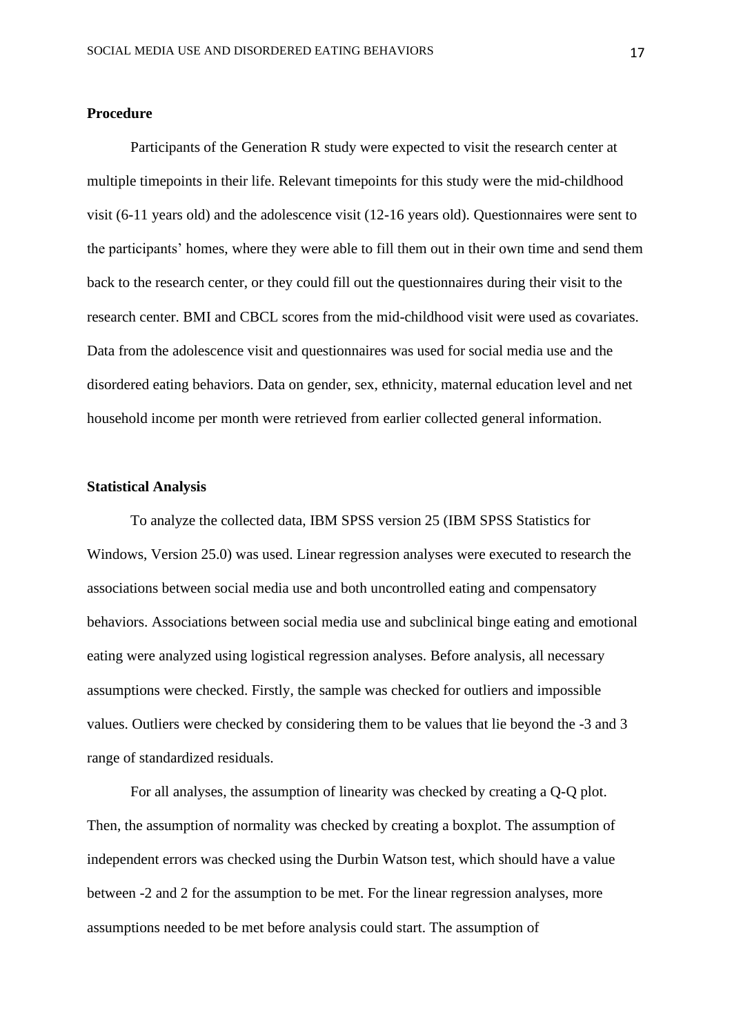#### **Procedure**

Participants of the Generation R study were expected to visit the research center at multiple timepoints in their life. Relevant timepoints for this study were the mid-childhood visit (6-11 years old) and the adolescence visit (12-16 years old). Questionnaires were sent to the participants' homes, where they were able to fill them out in their own time and send them back to the research center, or they could fill out the questionnaires during their visit to the research center. BMI and CBCL scores from the mid-childhood visit were used as covariates. Data from the adolescence visit and questionnaires was used for social media use and the disordered eating behaviors. Data on gender, sex, ethnicity, maternal education level and net household income per month were retrieved from earlier collected general information.

#### **Statistical Analysis**

To analyze the collected data, IBM SPSS version 25 (IBM SPSS Statistics for Windows, Version 25.0) was used. Linear regression analyses were executed to research the associations between social media use and both uncontrolled eating and compensatory behaviors. Associations between social media use and subclinical binge eating and emotional eating were analyzed using logistical regression analyses. Before analysis, all necessary assumptions were checked. Firstly, the sample was checked for outliers and impossible values. Outliers were checked by considering them to be values that lie beyond the -3 and 3 range of standardized residuals.

For all analyses, the assumption of linearity was checked by creating a Q-Q plot. Then, the assumption of normality was checked by creating a boxplot. The assumption of independent errors was checked using the Durbin Watson test, which should have a value between -2 and 2 for the assumption to be met. For the linear regression analyses, more assumptions needed to be met before analysis could start. The assumption of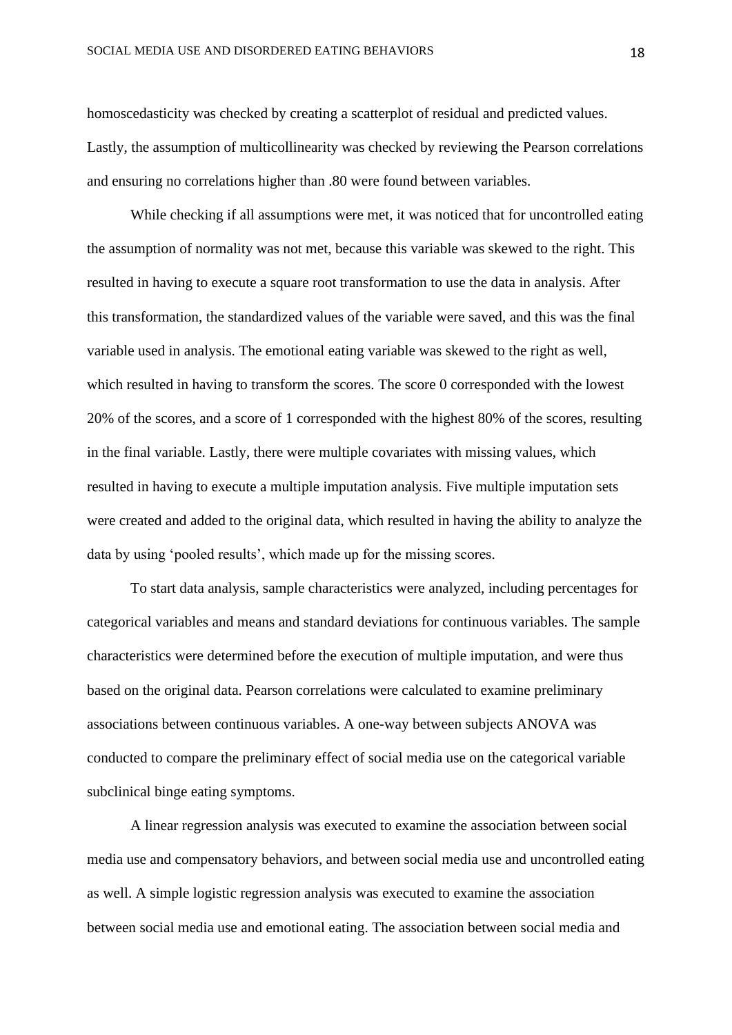homoscedasticity was checked by creating a scatterplot of residual and predicted values. Lastly, the assumption of multicollinearity was checked by reviewing the Pearson correlations and ensuring no correlations higher than .80 were found between variables.

While checking if all assumptions were met, it was noticed that for uncontrolled eating the assumption of normality was not met, because this variable was skewed to the right. This resulted in having to execute a square root transformation to use the data in analysis. After this transformation, the standardized values of the variable were saved, and this was the final variable used in analysis. The emotional eating variable was skewed to the right as well, which resulted in having to transform the scores. The score 0 corresponded with the lowest 20% of the scores, and a score of 1 corresponded with the highest 80% of the scores, resulting in the final variable. Lastly, there were multiple covariates with missing values, which resulted in having to execute a multiple imputation analysis. Five multiple imputation sets were created and added to the original data, which resulted in having the ability to analyze the data by using 'pooled results', which made up for the missing scores.

To start data analysis, sample characteristics were analyzed, including percentages for categorical variables and means and standard deviations for continuous variables. The sample characteristics were determined before the execution of multiple imputation, and were thus based on the original data. Pearson correlations were calculated to examine preliminary associations between continuous variables. A one-way between subjects ANOVA was conducted to compare the preliminary effect of social media use on the categorical variable subclinical binge eating symptoms.

A linear regression analysis was executed to examine the association between social media use and compensatory behaviors, and between social media use and uncontrolled eating as well. A simple logistic regression analysis was executed to examine the association between social media use and emotional eating. The association between social media and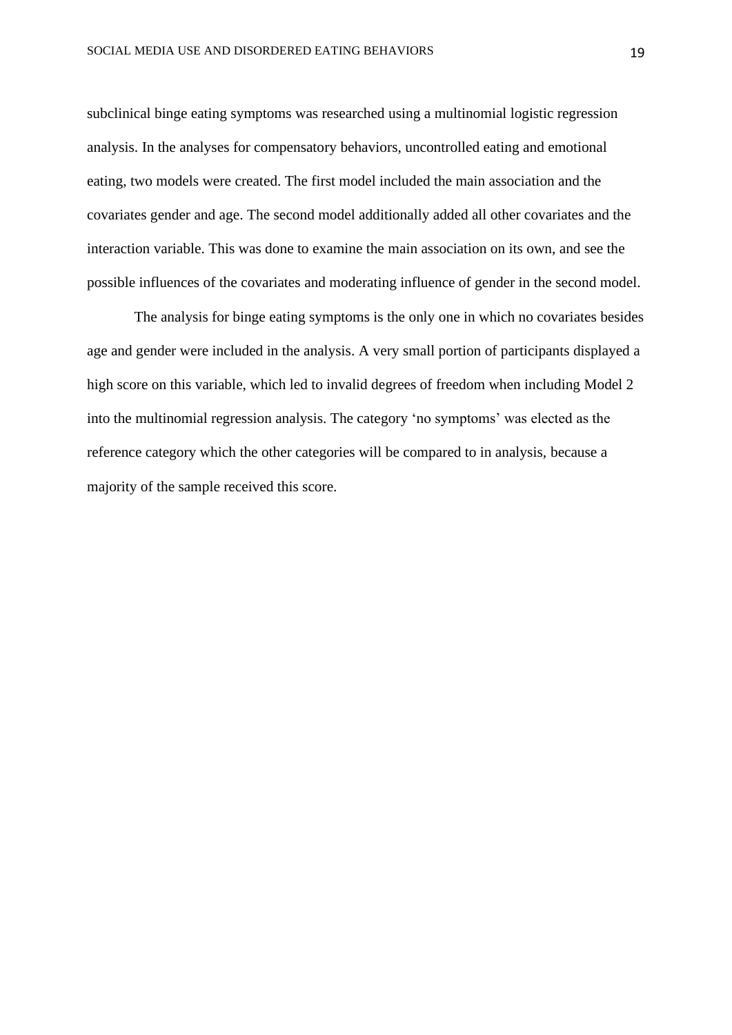subclinical binge eating symptoms was researched using a multinomial logistic regression analysis. In the analyses for compensatory behaviors, uncontrolled eating and emotional eating, two models were created. The first model included the main association and the covariates gender and age. The second model additionally added all other covariates and the interaction variable. This was done to examine the main association on its own, and see the possible influences of the covariates and moderating influence of gender in the second model.

The analysis for binge eating symptoms is the only one in which no covariates besides age and gender were included in the analysis. A very small portion of participants displayed a high score on this variable, which led to invalid degrees of freedom when including Model 2 into the multinomial regression analysis. The category 'no symptoms' was elected as the reference category which the other categories will be compared to in analysis, because a majority of the sample received this score.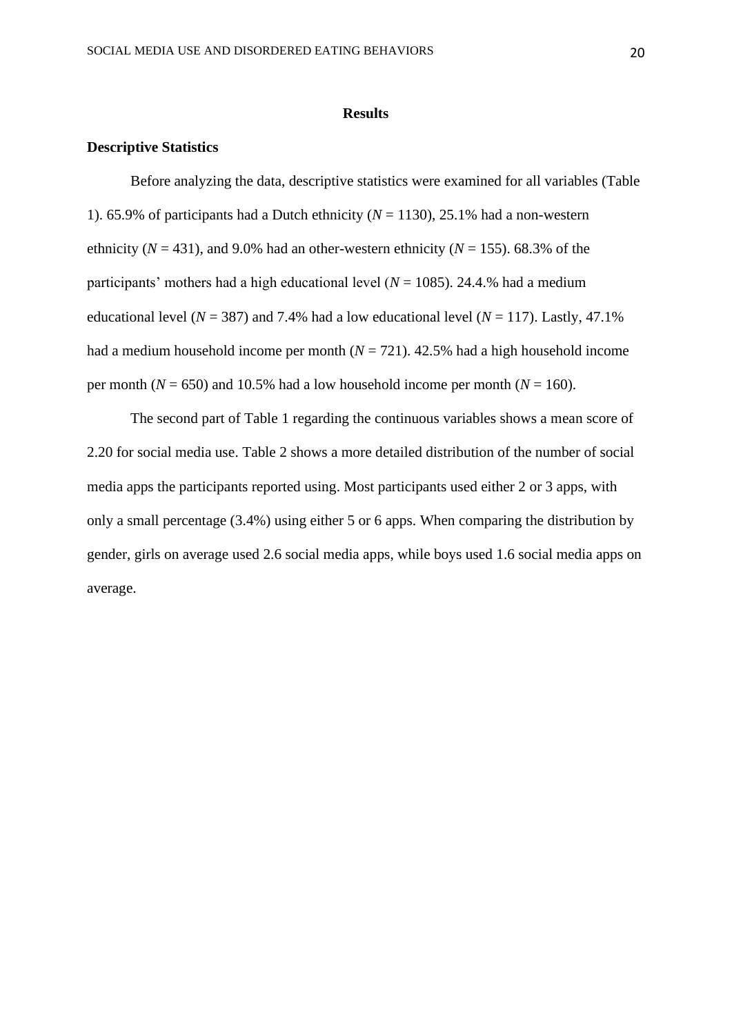#### **Results**

#### **Descriptive Statistics**

Before analyzing the data, descriptive statistics were examined for all variables (Table 1). 65.9% of participants had a Dutch ethnicity  $(N = 1130)$ , 25.1% had a non-western ethnicity ( $N = 431$ ), and 9.0% had an other-western ethnicity ( $N = 155$ ). 68.3% of the participants' mothers had a high educational level ( $N = 1085$ ). 24.4.% had a medium educational level ( $N = 387$ ) and 7.4% had a low educational level ( $N = 117$ ). Lastly, 47.1% had a medium household income per month  $(N = 721)$ . 42.5% had a high household income per month ( $N = 650$ ) and 10.5% had a low household income per month ( $N = 160$ ).

The second part of Table 1 regarding the continuous variables shows a mean score of 2.20 for social media use. Table 2 shows a more detailed distribution of the number of social media apps the participants reported using. Most participants used either 2 or 3 apps, with only a small percentage (3.4%) using either 5 or 6 apps. When comparing the distribution by gender, girls on average used 2.6 social media apps, while boys used 1.6 social media apps on average.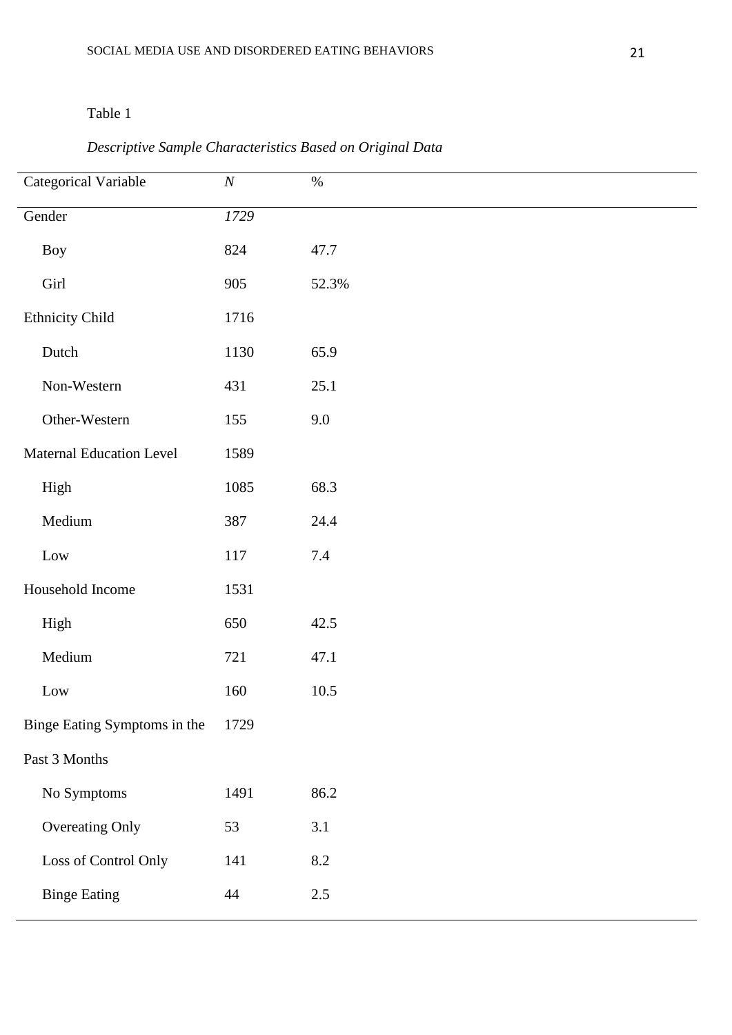| Categorical Variable            | $\cal N$ | $\%$    |
|---------------------------------|----------|---------|
| Gender                          | 1729     |         |
| <b>Boy</b>                      | 824      | 47.7    |
| Girl                            | 905      | 52.3%   |
| <b>Ethnicity Child</b>          | 1716     |         |
| Dutch                           | 1130     | 65.9    |
| Non-Western                     | 431      | 25.1    |
| Other-Western                   | 155      | 9.0     |
| <b>Maternal Education Level</b> | 1589     |         |
| High                            | 1085     | 68.3    |
| Medium                          | 387      | 24.4    |
| Low                             | $117\,$  | $7.4\,$ |
| Household Income                | 1531     |         |
| High                            | 650      | 42.5    |
| Medium                          | 721      | 47.1    |
| Low                             | 160      | 10.5    |
| Binge Eating Symptoms in the    | 1729     |         |
| Past 3 Months                   |          |         |
| No Symptoms                     | 1491     | 86.2    |
| Overeating Only                 | 53       | 3.1     |
| Loss of Control Only            | 141      | 8.2     |
| <b>Binge Eating</b>             | 44       | $2.5\,$ |

## *Descriptive Sample Characteristics Based on Original Data*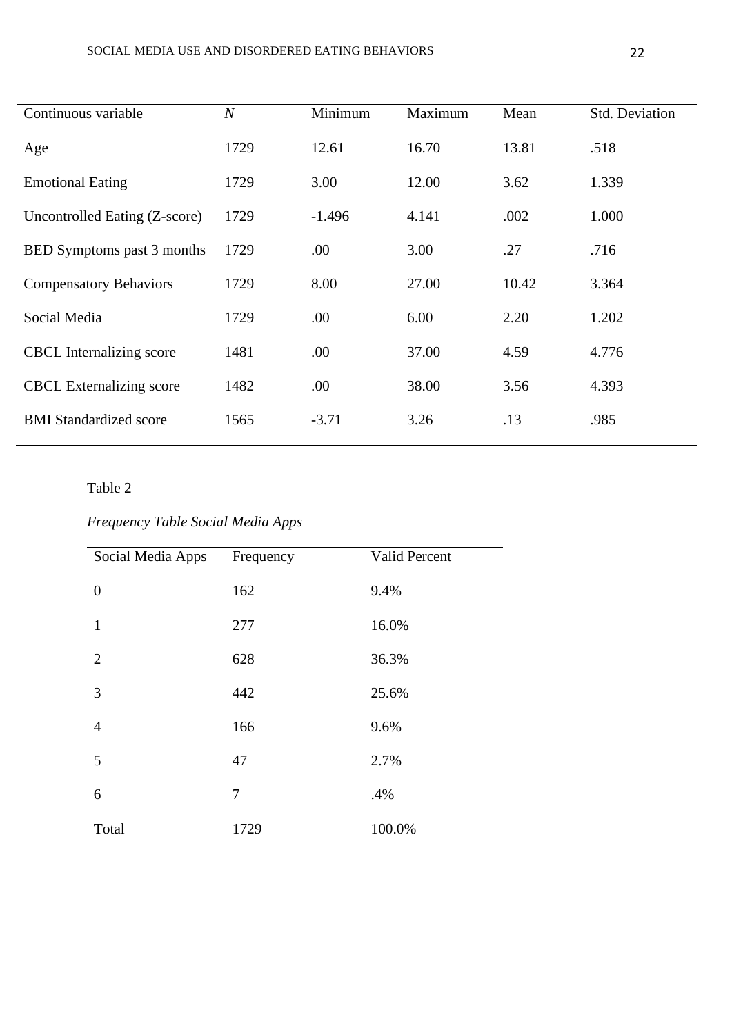| Continuous variable             | $\overline{N}$ | Minimum  | Maximum | Mean  | <b>Std. Deviation</b> |
|---------------------------------|----------------|----------|---------|-------|-----------------------|
| Age                             | 1729           | 12.61    | 16.70   | 13.81 | .518                  |
| <b>Emotional Eating</b>         | 1729           | 3.00     | 12.00   | 3.62  | 1.339                 |
| Uncontrolled Eating (Z-score)   | 1729           | $-1.496$ | 4.141   | .002  | 1.000                 |
| BED Symptoms past 3 months      | 1729           | .00.     | 3.00    | .27   | .716                  |
| <b>Compensatory Behaviors</b>   | 1729           | 8.00     | 27.00   | 10.42 | 3.364                 |
| Social Media                    | 1729           | .00      | 6.00    | 2.20  | 1.202                 |
| <b>CBCL</b> Internalizing score | 1481           | .00      | 37.00   | 4.59  | 4.776                 |
| <b>CBCL</b> Externalizing score | 1482           | .00      | 38.00   | 3.56  | 4.393                 |
| <b>BMI</b> Standardized score   | 1565           | $-3.71$  | 3.26    | .13   | .985                  |

## *Frequency Table Social Media Apps*

| Social Media Apps | Frequency | Valid Percent |
|-------------------|-----------|---------------|
| $\overline{0}$    | 162       | 9.4%          |
| $\mathbf{1}$      | 277       | 16.0%         |
| $\overline{2}$    | 628       | 36.3%         |
| 3                 | 442       | 25.6%         |
| $\overline{4}$    | 166       | 9.6%          |
| 5                 | 47        | 2.7%          |
| 6                 | 7         | .4%           |
| Total             | 1729      | 100.0%        |
|                   |           |               |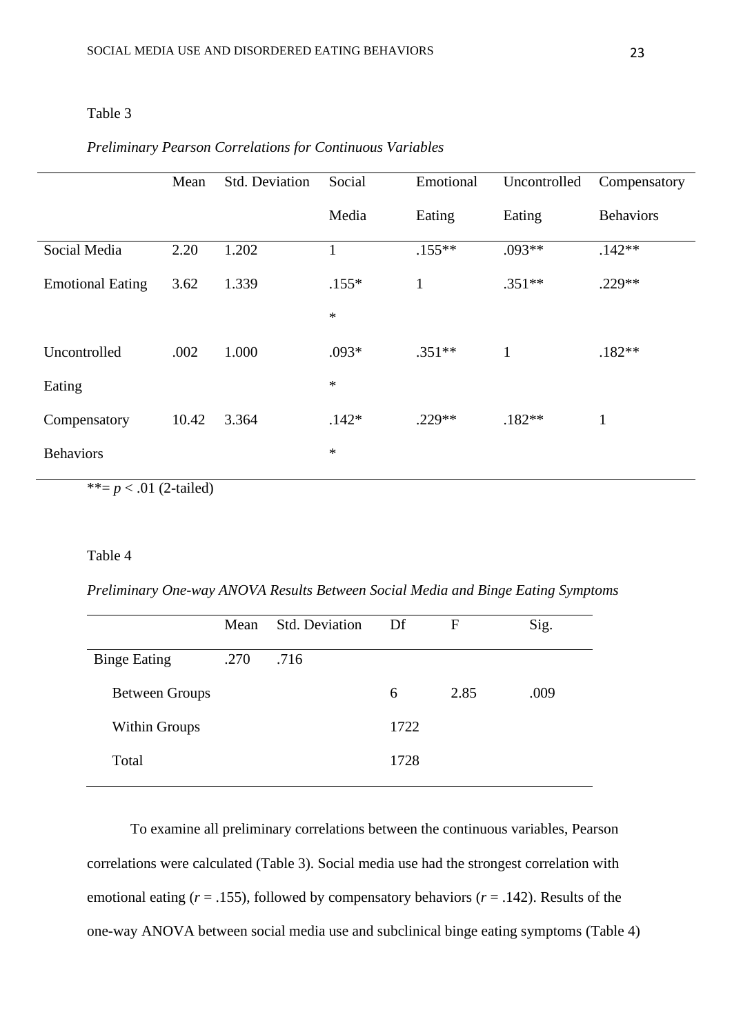#### *Preliminary Pearson Correlations for Continuous Variables*

|                         | Mean  | <b>Std. Deviation</b> | Social       | Emotional    | Uncontrolled | Compensatory     |
|-------------------------|-------|-----------------------|--------------|--------------|--------------|------------------|
|                         |       |                       | Media        | Eating       | Eating       | <b>Behaviors</b> |
| Social Media            | 2.20  | 1.202                 | $\mathbf{1}$ | $.155***$    | $.093**$     | $.142**$         |
| <b>Emotional Eating</b> | 3.62  | 1.339                 | $.155*$      | $\mathbf{1}$ | $.351**$     | $.229**$         |
|                         |       |                       | $\ast$       |              |              |                  |
| Uncontrolled            | .002  | 1.000                 | $.093*$      | $.351**$     | $\mathbf{1}$ | $.182**$         |
| Eating                  |       |                       | $\ast$       |              |              |                  |
| Compensatory            | 10.42 | 3.364                 | $.142*$      | $.229**$     | $.182**$     | $\mathbf{1}$     |
| <b>Behaviors</b>        |       |                       | $\ast$       |              |              |                  |

\*\*= $p < .01$  (2-tailed)

#### Table 4

*Preliminary One-way ANOVA Results Between Social Media and Binge Eating Symptoms*

|                       | Mean | <b>Std. Deviation</b> | Df   | F    | Sig. |
|-----------------------|------|-----------------------|------|------|------|
| <b>Binge Eating</b>   | .270 | .716                  |      |      |      |
| <b>Between Groups</b> |      |                       | 6    | 2.85 | .009 |
| <b>Within Groups</b>  |      |                       | 1722 |      |      |
| Total                 |      |                       | 1728 |      |      |
|                       |      |                       |      |      |      |

To examine all preliminary correlations between the continuous variables, Pearson correlations were calculated (Table 3). Social media use had the strongest correlation with emotional eating (*r* = .155), followed by compensatory behaviors (*r* = .142). Results of the one-way ANOVA between social media use and subclinical binge eating symptoms (Table 4)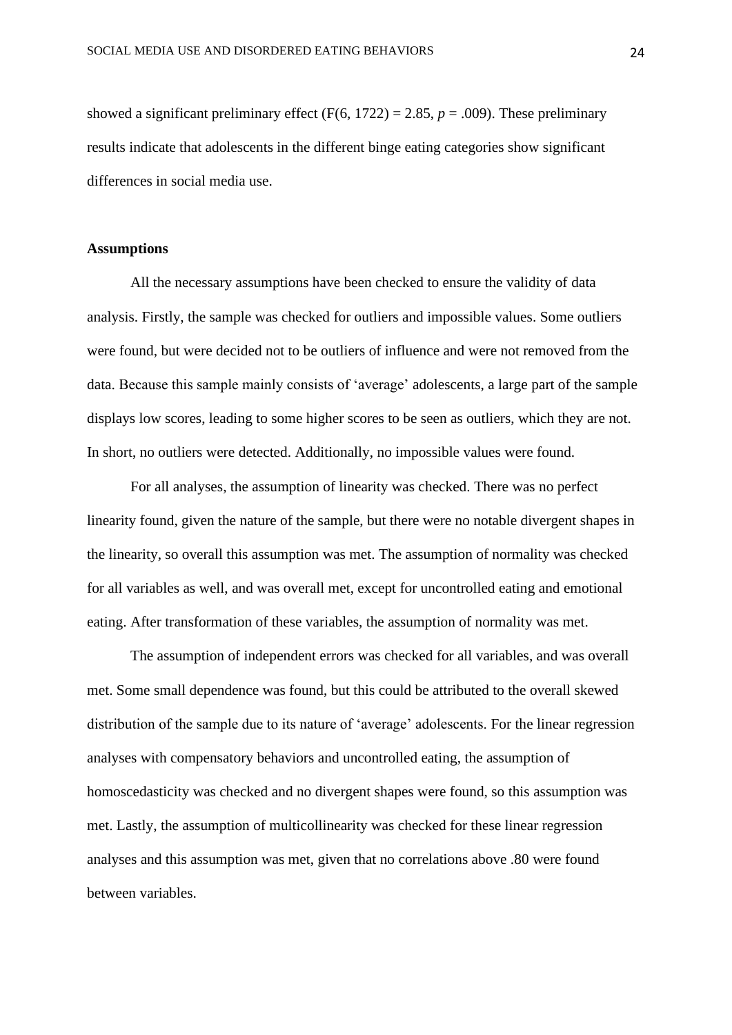showed a significant preliminary effect  $(F(6, 1722) = 2.85, p = .009)$ . These preliminary results indicate that adolescents in the different binge eating categories show significant differences in social media use.

#### **Assumptions**

All the necessary assumptions have been checked to ensure the validity of data analysis. Firstly, the sample was checked for outliers and impossible values. Some outliers were found, but were decided not to be outliers of influence and were not removed from the data. Because this sample mainly consists of 'average' adolescents, a large part of the sample displays low scores, leading to some higher scores to be seen as outliers, which they are not. In short, no outliers were detected. Additionally, no impossible values were found.

For all analyses, the assumption of linearity was checked. There was no perfect linearity found, given the nature of the sample, but there were no notable divergent shapes in the linearity, so overall this assumption was met. The assumption of normality was checked for all variables as well, and was overall met, except for uncontrolled eating and emotional eating. After transformation of these variables, the assumption of normality was met.

The assumption of independent errors was checked for all variables, and was overall met. Some small dependence was found, but this could be attributed to the overall skewed distribution of the sample due to its nature of 'average' adolescents. For the linear regression analyses with compensatory behaviors and uncontrolled eating, the assumption of homoscedasticity was checked and no divergent shapes were found, so this assumption was met. Lastly, the assumption of multicollinearity was checked for these linear regression analyses and this assumption was met, given that no correlations above .80 were found between variables.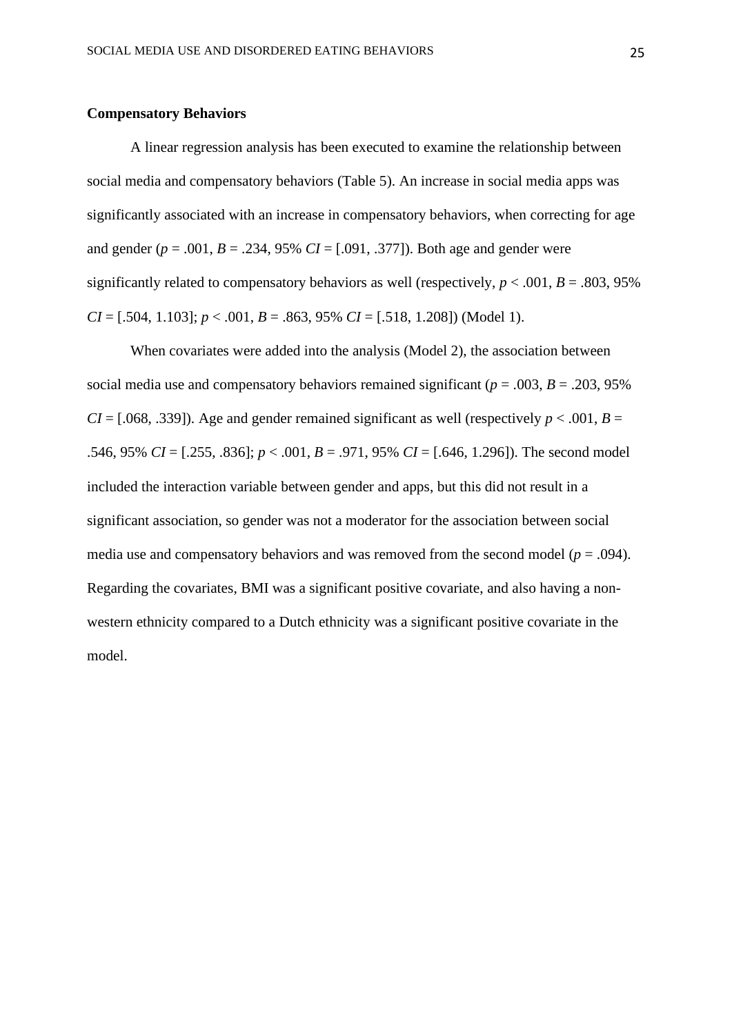#### **Compensatory Behaviors**

A linear regression analysis has been executed to examine the relationship between social media and compensatory behaviors (Table 5). An increase in social media apps was significantly associated with an increase in compensatory behaviors, when correcting for age and gender  $(p = .001, B = .234, 95\% \text{ } CI = [.091, .377]$ . Both age and gender were significantly related to compensatory behaviors as well (respectively,  $p < .001$ ,  $B = .803, 95\%$ )  $CI = [.504, 1.103]$ ;  $p < .001$ ,  $B = .863, 95\%$   $CI = [.518, 1.208]$ ) (Model 1).

When covariates were added into the analysis (Model 2), the association between social media use and compensatory behaviors remained significant ( $p = .003$ ,  $B = .203$ , 95% *CI* = [.068, .339]). Age and gender remained significant as well (respectively  $p < .001$ ,  $B =$ .546, 95% *CI* = [.255, .836]; *p* < .001, *B* = .971, 95% *CI* = [.646, 1.296]). The second model included the interaction variable between gender and apps, but this did not result in a significant association, so gender was not a moderator for the association between social media use and compensatory behaviors and was removed from the second model ( $p = .094$ ). Regarding the covariates, BMI was a significant positive covariate, and also having a nonwestern ethnicity compared to a Dutch ethnicity was a significant positive covariate in the model.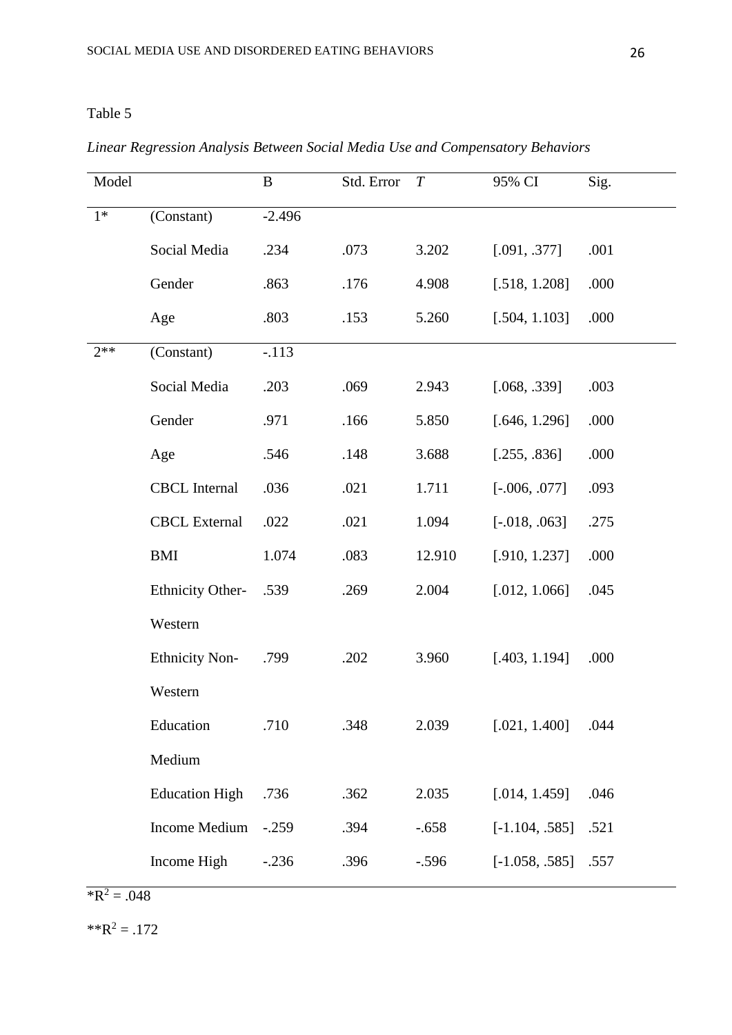# Model B Std. Error *T* 95% CI Sig. 1\* (Constant) -2.496 Social Media  $.234$   $.073$   $.3202$   $.091, .377$   $.001$ Gender .863 .176 4.908 [.518, 1.208] .000 Age .803 .153 5.260 [.504, 1.103] .000 2\*\* (Constant) -.113 Social Media .203 .069 2.943 [.068, .339] .003 Gender .971 .166 5.850 [.646, 1.296] .000 Age .546 .148 3.688 [.255, .836] .000 CBCL Internal .036 .021 1.711 [-.006, 077] .093 CBCL External .022 .021 1.094 [-.018, .063] .275 BMI 1.074 .083 12.910 [.910, 1.237] .000 Ethnicity Other-Western .539 .269 2.004 [.012, 1.066] .045 Ethnicity Non-Western .799 .202 3.960 [.403, 1.194] .000 Education Medium .710 .348 2.039 [.021, 1.400] .044 Education High .736 .362 2.035 [.014, 1.459] .046 Income Medium -.259 .394 -.658 [-1.104, .585] .521 Income High -.236 .396 -.596 [-1.058, .585] .557

#### *Linear Regression Analysis Between Social Media Use and Compensatory Behaviors*

 $\sqrt{R^2} = .048$ 

 $*R^2 = .172$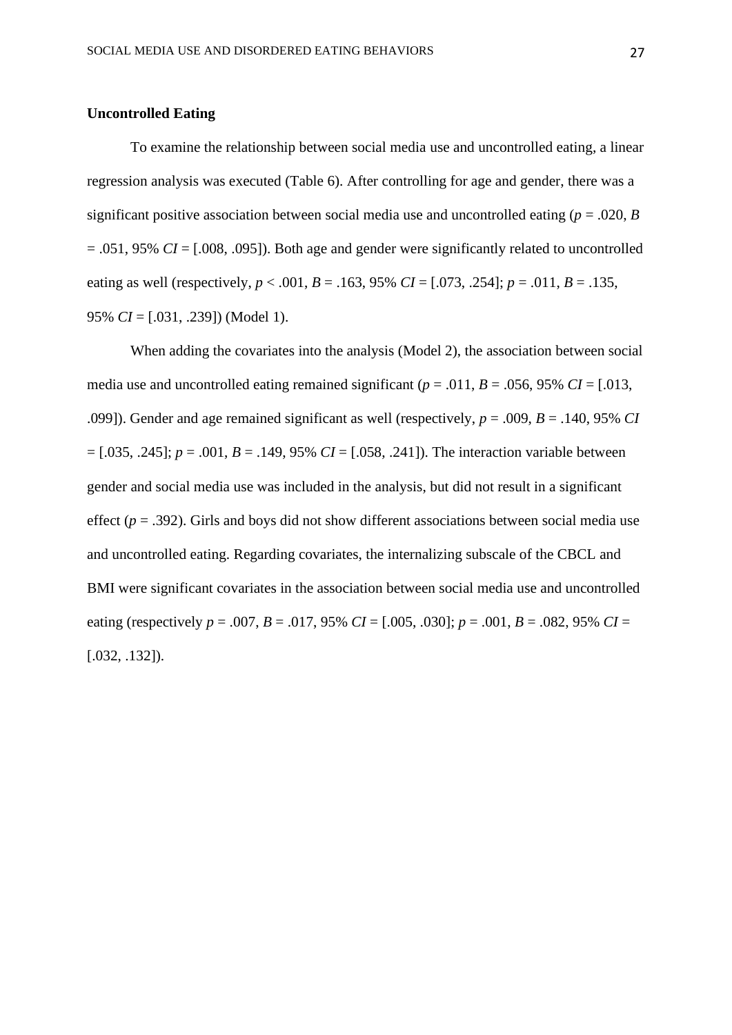#### **Uncontrolled Eating**

To examine the relationship between social media use and uncontrolled eating, a linear regression analysis was executed (Table 6). After controlling for age and gender, there was a significant positive association between social media use and uncontrolled eating ( $p = .020$ , *B* = .051, 95% *CI* = [.008, .095]). Both age and gender were significantly related to uncontrolled eating as well (respectively,  $p < .001$ ,  $B = .163$ , 95%  $CI = [.073, .254]$ ;  $p = .011$ ,  $B = .135$ , 95% *CI* = [.031, .239]) (Model 1).

When adding the covariates into the analysis (Model 2), the association between social media use and uncontrolled eating remained significant ( $p = .011$ ,  $B = .056$ , 95% *CI* = [.013, .099]). Gender and age remained significant as well (respectively, *p* = .009, *B* = .140, 95% *CI*  = [.035, .245]; *p* = .001, *B* = .149, 95% *CI* = [.058, .241]). The interaction variable between gender and social media use was included in the analysis, but did not result in a significant effect  $(p = .392)$ . Girls and boys did not show different associations between social media use and uncontrolled eating. Regarding covariates, the internalizing subscale of the CBCL and BMI were significant covariates in the association between social media use and uncontrolled eating (respectively  $p = .007$ ,  $B = .017$ , 95%  $CI = [.005, .030]$ ;  $p = .001$ ,  $B = .082$ , 95%  $CI =$ [.032, .132]).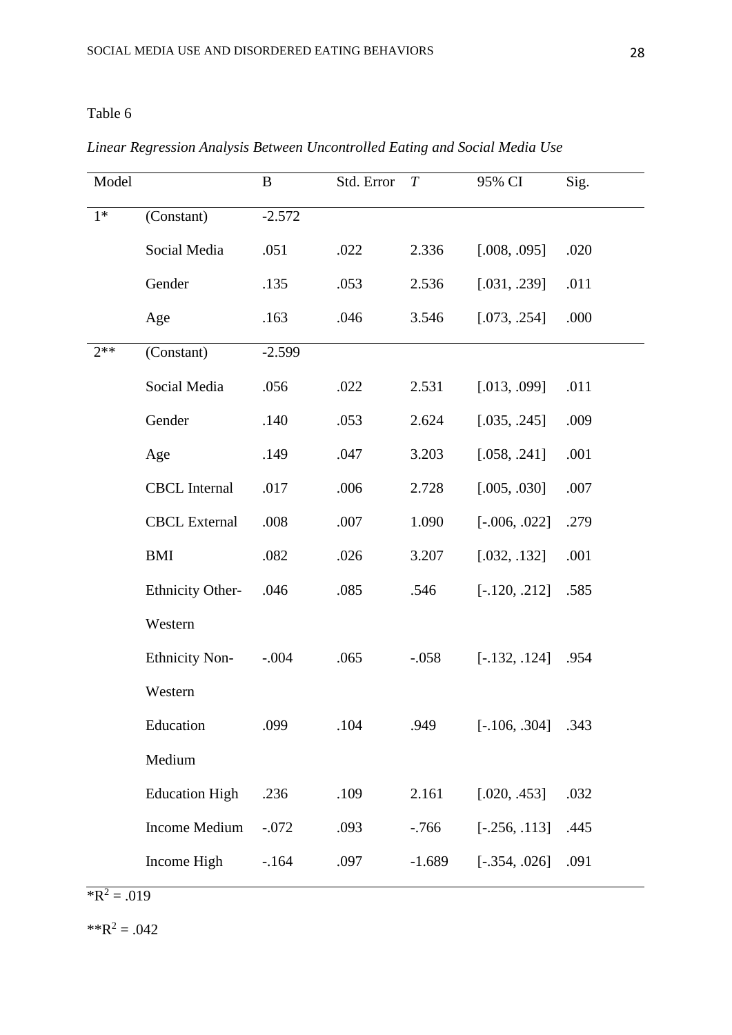## *Linear Regression Analysis Between Uncontrolled Eating and Social Media Use*

 $R^2 = .019$ 

 $*R^2 = .042$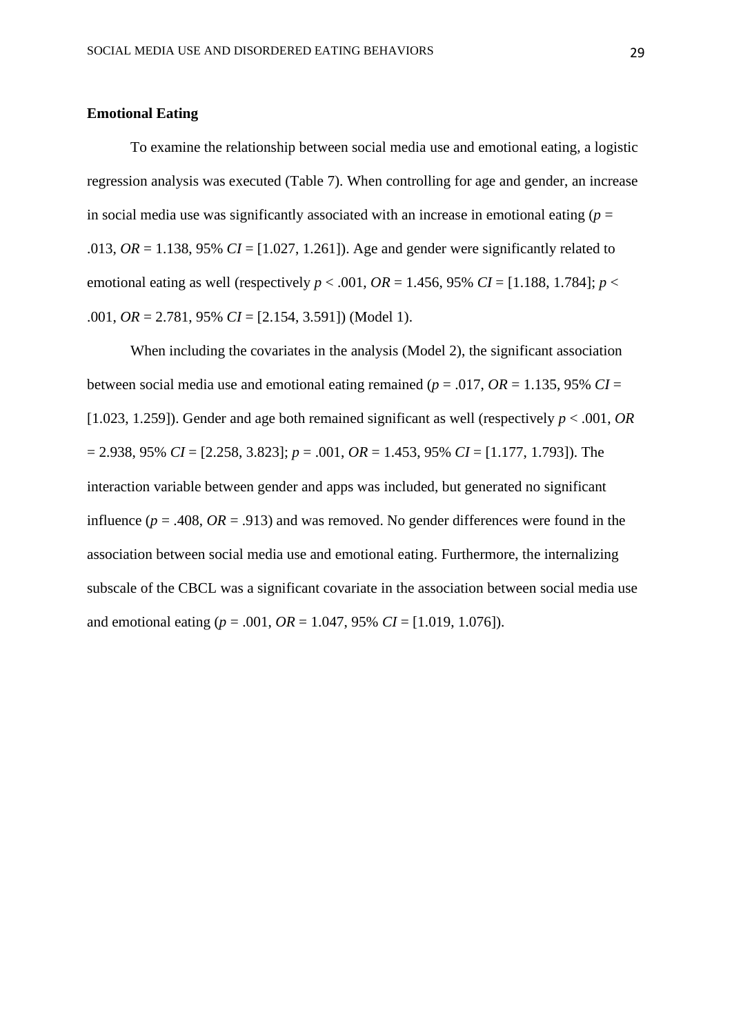#### **Emotional Eating**

To examine the relationship between social media use and emotional eating, a logistic regression analysis was executed (Table 7). When controlling for age and gender, an increase in social media use was significantly associated with an increase in emotional eating  $(p =$ .013,  $OR = 1.138$ , 95%  $CI = [1.027, 1.261]$ . Age and gender were significantly related to emotional eating as well (respectively  $p < .001$ ,  $OR = 1.456$ , 95%  $CI = [1.188, 1.784]$ ;  $p <$ .001, *OR* = 2.781, 95% *CI* = [2.154, 3.591]) (Model 1).

When including the covariates in the analysis (Model 2), the significant association between social media use and emotional eating remained ( $p = .017$ ,  $OR = 1.135$ , 95%  $CI =$ [1.023, 1.259]). Gender and age both remained significant as well (respectively *p* < .001, *OR* = 2.938, 95% *CI* = [2.258, 3.823]; *p* = .001, *OR* = 1.453, 95% *CI* = [1.177, 1.793]). The interaction variable between gender and apps was included, but generated no significant influence ( $p = .408$ ,  $OR = .913$ ) and was removed. No gender differences were found in the association between social media use and emotional eating. Furthermore, the internalizing subscale of the CBCL was a significant covariate in the association between social media use and emotional eating ( $p = .001$ ,  $OR = 1.047$ , 95%  $CI = [1.019, 1.076]$ ).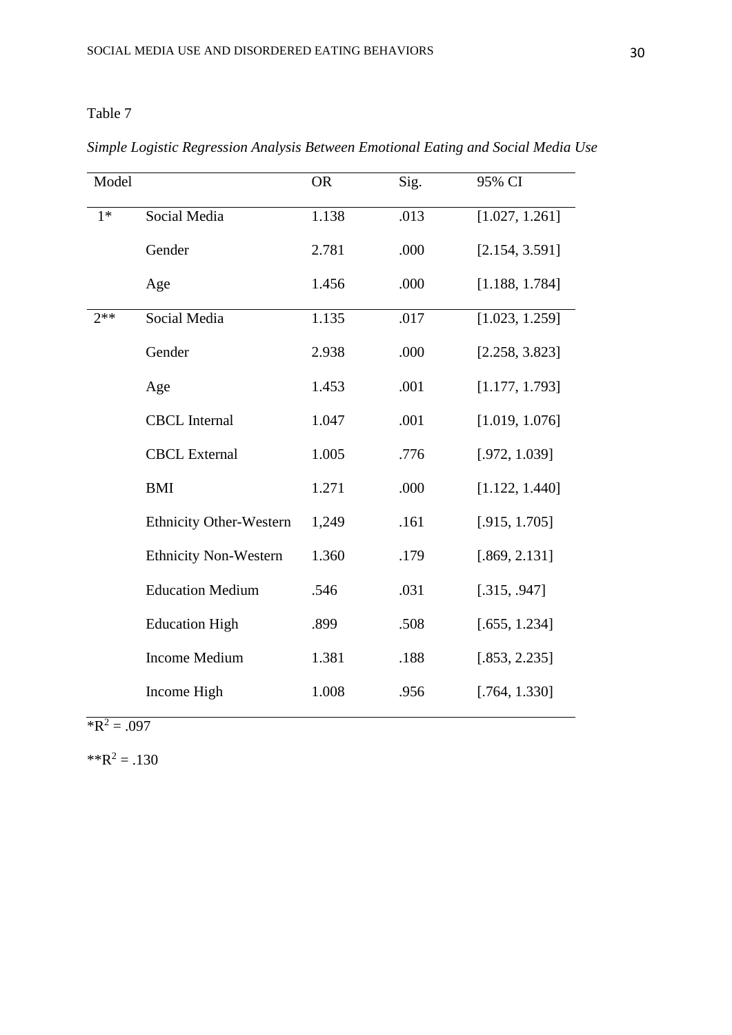*Simple Logistic Regression Analysis Between Emotional Eating and Social Media Use*

| Model |                                | <b>OR</b> | Sig. | 95% CI         |
|-------|--------------------------------|-----------|------|----------------|
| $1*$  | Social Media                   | 1.138     | .013 | [1.027, 1.261] |
|       | Gender                         | 2.781     | .000 | [2.154, 3.591] |
|       | Age                            | 1.456     | .000 | [1.188, 1.784] |
| $2**$ | Social Media                   | 1.135     | .017 | [1.023, 1.259] |
|       | Gender                         | 2.938     | .000 | [2.258, 3.823] |
|       | Age                            | 1.453     | .001 | [1.177, 1.793] |
|       | <b>CBCL</b> Internal           | 1.047     | .001 | [1.019, 1.076] |
|       | <b>CBCL External</b>           | 1.005     | .776 | [.972, 1.039]  |
|       | <b>BMI</b>                     | 1.271     | .000 | [1.122, 1.440] |
|       | <b>Ethnicity Other-Western</b> | 1,249     | .161 | [.915, 1.705]  |
|       | <b>Ethnicity Non-Western</b>   | 1.360     | .179 | [.869, 2.131]  |
|       | <b>Education Medium</b>        | .546      | .031 | [.315, .947]   |
|       | <b>Education High</b>          | .899      | .508 | [.655, 1.234]  |
|       | <b>Income Medium</b>           | 1.381     | .188 | [.853, 2.235]  |
|       | Income High                    | 1.008     | .956 | [.764, 1.330]  |

 $R^2 = .097$ 

 $*R^2 = .130$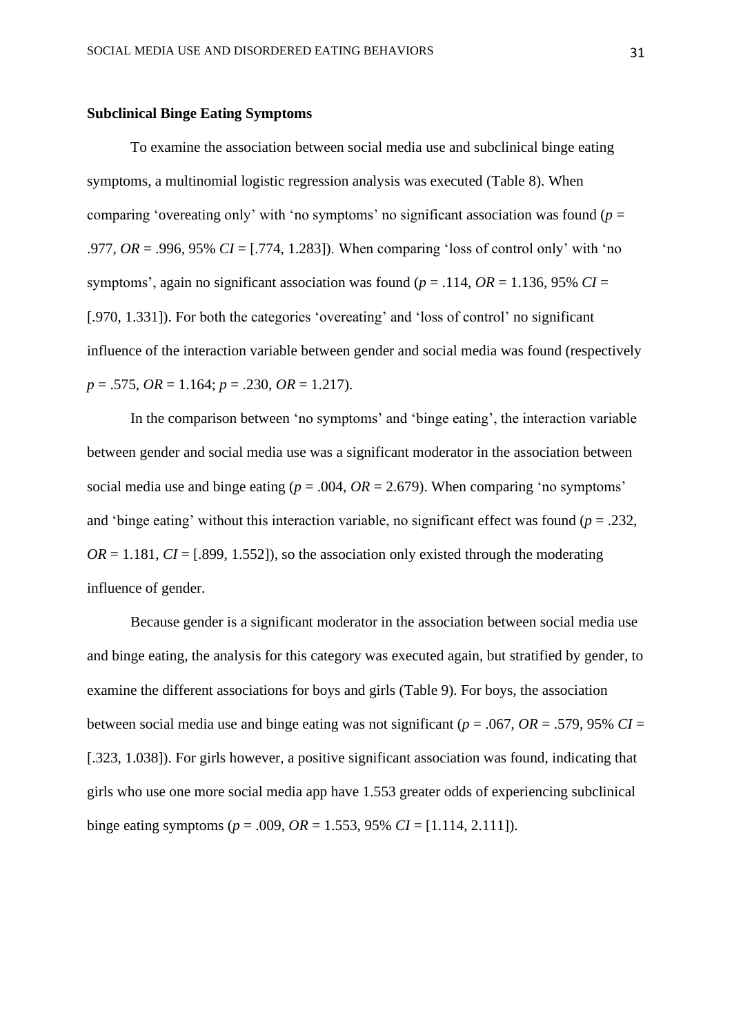#### **Subclinical Binge Eating Symptoms**

To examine the association between social media use and subclinical binge eating symptoms, a multinomial logistic regression analysis was executed (Table 8). When comparing 'overeating only' with 'no symptoms' no significant association was found (*p* = .977, *OR* = .996, 95% *CI* = [.774, 1.283]). When comparing 'loss of control only' with 'no symptoms', again no significant association was found ( $p = .114$ ,  $OR = 1.136$ , 95%  $CI =$ [.970, 1.331]). For both the categories 'overeating' and 'loss of control' no significant influence of the interaction variable between gender and social media was found (respectively *p* = .575, *OR* = 1.164; *p* = .230, *OR* = 1.217).

In the comparison between 'no symptoms' and 'binge eating', the interaction variable between gender and social media use was a significant moderator in the association between social media use and binge eating ( $p = .004$ ,  $OR = 2.679$ ). When comparing 'no symptoms' and 'binge eating' without this interaction variable, no significant effect was found (*p* = .232,  $OR = 1.181$ ,  $CI = [.899, 1.552]$ , so the association only existed through the moderating influence of gender.

Because gender is a significant moderator in the association between social media use and binge eating, the analysis for this category was executed again, but stratified by gender, to examine the different associations for boys and girls (Table 9). For boys, the association between social media use and binge eating was not significant ( $p = .067$ ,  $OR = .579$ , 95%  $CI =$ [.323, 1.038]). For girls however, a positive significant association was found, indicating that girls who use one more social media app have 1.553 greater odds of experiencing subclinical binge eating symptoms ( $p = .009$ ,  $OR = 1.553$ , 95%  $CI = [1.114, 2.111]$ ).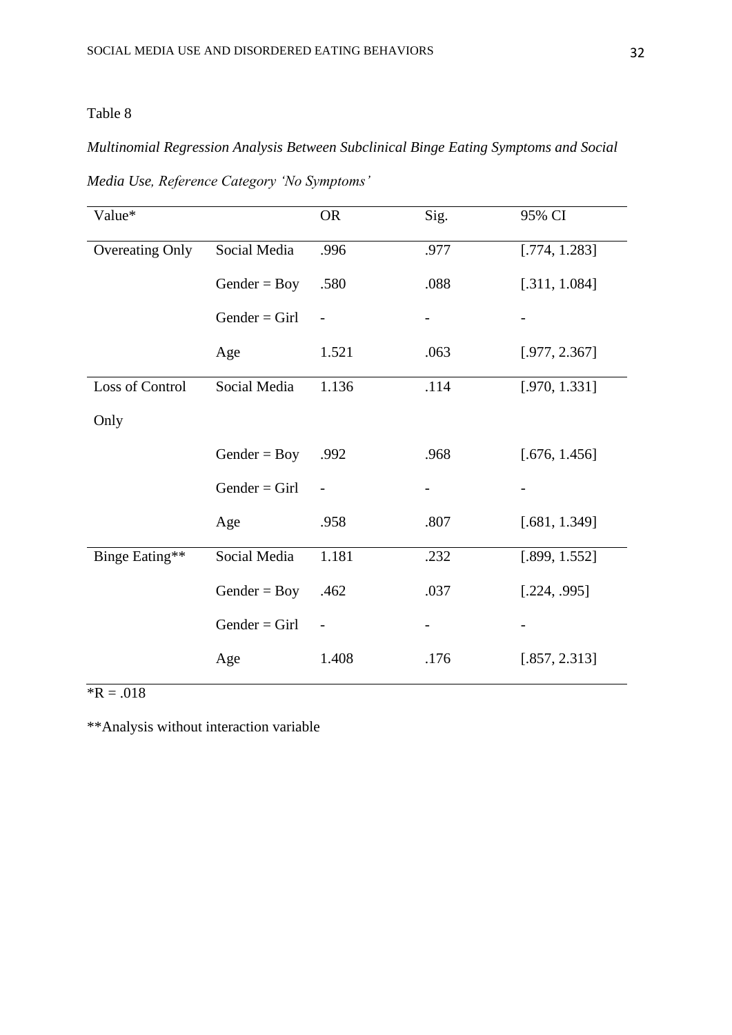## *Multinomial Regression Analysis Between Subclinical Binge Eating Symptoms and Social*

| Value*                 |                 | <b>OR</b>         | Sig. | 95% CI        |
|------------------------|-----------------|-------------------|------|---------------|
| <b>Overeating Only</b> | Social Media    | .996              | .977 | [.774, 1.283] |
|                        | $Gender = Boy$  | .580              | .088 | [.311, 1.084] |
|                        | $Gender = Girl$ |                   |      |               |
|                        | Age             | 1.521             | .063 | [.977, 2.367] |
| Loss of Control        | Social Media    | 1.136             | .114 | [.970, 1.331] |
| Only                   |                 |                   |      |               |
|                        | Gender = $Boy$  | .992              | .968 | [.676, 1.456] |
|                        | $Gender = Girl$ |                   |      |               |
|                        | Age             | .958              | .807 | [.681, 1.349] |
| Binge Eating**         | Social Media    | 1.181             | .232 | [.899, 1.552] |
|                        | Gender = $Boy$  | .462              | .037 | [.224, .995]  |
|                        | $Gender = Girl$ | $\qquad \qquad -$ |      |               |
|                        | Age             | 1.408             | .176 | [.857, 2.313] |

*Media Use, Reference Category 'No Symptoms'*

 $R = .018$ 

\*\*Analysis without interaction variable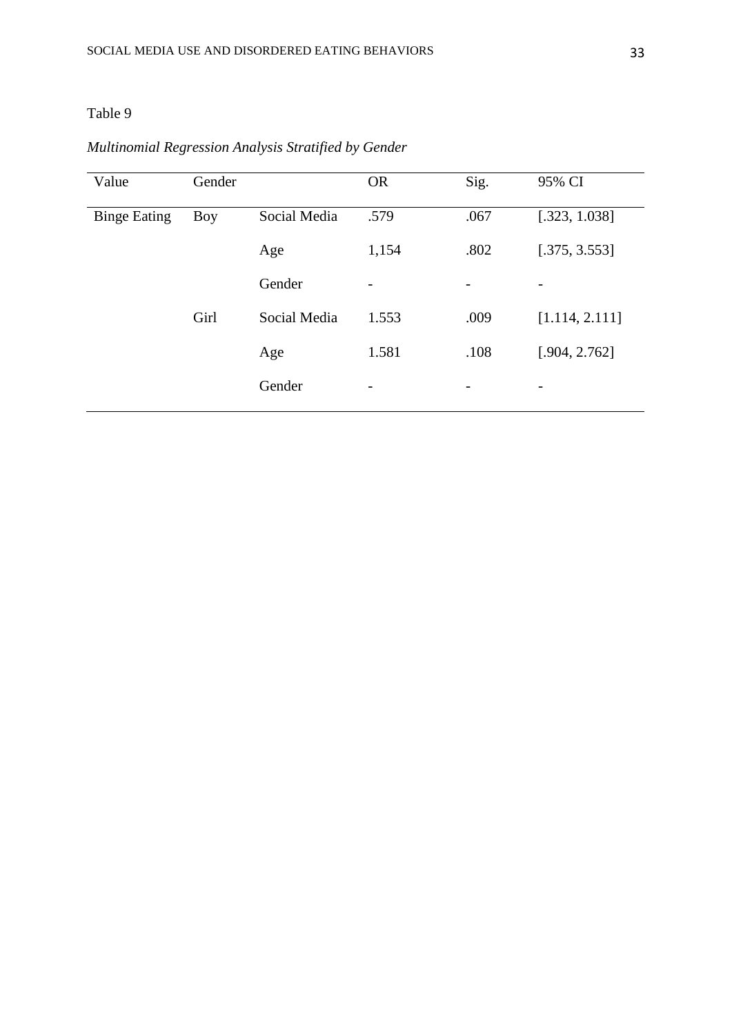## *Multinomial Regression Analysis Stratified by Gender*

| Value               | Gender     |              | <b>OR</b> | Sig. | 95% CI                   |
|---------------------|------------|--------------|-----------|------|--------------------------|
| <b>Binge Eating</b> | <b>Boy</b> | Social Media | .579      | .067 | [.323, 1.038]            |
|                     |            | Age          | 1,154     | .802 | [.375, 3.553]            |
|                     |            | Gender       | -         | -    | $\overline{a}$           |
|                     | Girl       | Social Media | 1.553     | .009 | [1.114, 2.111]           |
|                     |            | Age          | 1.581     | .108 | [.904, 2.762]            |
|                     |            | Gender       | -         | -    | $\overline{\phantom{a}}$ |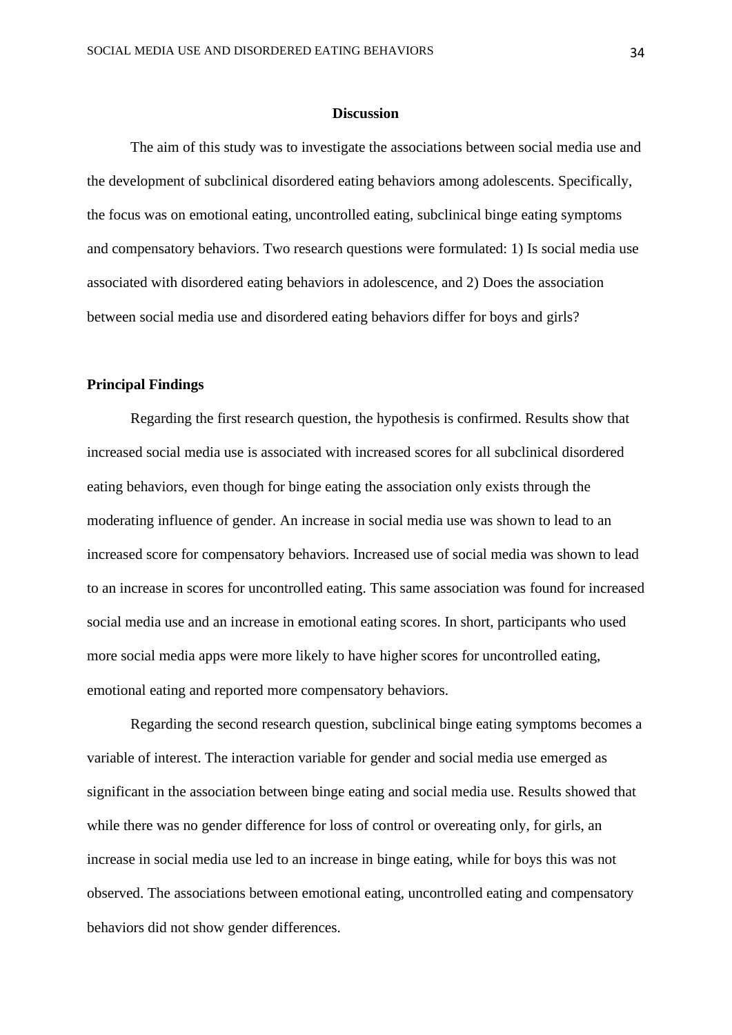#### **Discussion**

The aim of this study was to investigate the associations between social media use and the development of subclinical disordered eating behaviors among adolescents. Specifically, the focus was on emotional eating, uncontrolled eating, subclinical binge eating symptoms and compensatory behaviors. Two research questions were formulated: 1) Is social media use associated with disordered eating behaviors in adolescence, and 2) Does the association between social media use and disordered eating behaviors differ for boys and girls?

#### **Principal Findings**

Regarding the first research question, the hypothesis is confirmed. Results show that increased social media use is associated with increased scores for all subclinical disordered eating behaviors, even though for binge eating the association only exists through the moderating influence of gender. An increase in social media use was shown to lead to an increased score for compensatory behaviors. Increased use of social media was shown to lead to an increase in scores for uncontrolled eating. This same association was found for increased social media use and an increase in emotional eating scores. In short, participants who used more social media apps were more likely to have higher scores for uncontrolled eating, emotional eating and reported more compensatory behaviors.

Regarding the second research question, subclinical binge eating symptoms becomes a variable of interest. The interaction variable for gender and social media use emerged as significant in the association between binge eating and social media use. Results showed that while there was no gender difference for loss of control or overeating only, for girls, an increase in social media use led to an increase in binge eating, while for boys this was not observed. The associations between emotional eating, uncontrolled eating and compensatory behaviors did not show gender differences.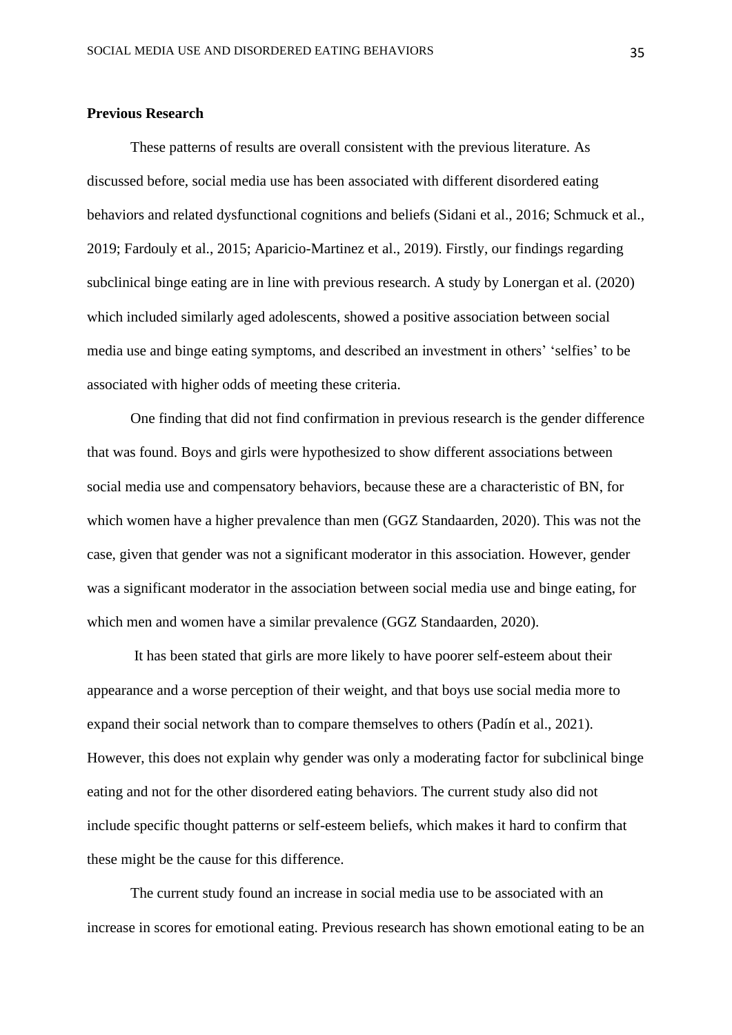#### **Previous Research**

These patterns of results are overall consistent with the previous literature. As discussed before, social media use has been associated with different disordered eating behaviors and related dysfunctional cognitions and beliefs (Sidani et al., 2016; Schmuck et al., 2019; Fardouly et al., 2015; Aparicio-Martinez et al., 2019). Firstly, our findings regarding subclinical binge eating are in line with previous research. A study by Lonergan et al. (2020) which included similarly aged adolescents, showed a positive association between social media use and binge eating symptoms, and described an investment in others' 'selfies' to be associated with higher odds of meeting these criteria.

One finding that did not find confirmation in previous research is the gender difference that was found. Boys and girls were hypothesized to show different associations between social media use and compensatory behaviors, because these are a characteristic of BN, for which women have a higher prevalence than men (GGZ Standaarden, 2020). This was not the case, given that gender was not a significant moderator in this association. However, gender was a significant moderator in the association between social media use and binge eating, for which men and women have a similar prevalence (GGZ Standaarden, 2020).

It has been stated that girls are more likely to have poorer self-esteem about their appearance and a worse perception of their weight, and that boys use social media more to expand their social network than to compare themselves to others (Padín et al., 2021). However, this does not explain why gender was only a moderating factor for subclinical binge eating and not for the other disordered eating behaviors. The current study also did not include specific thought patterns or self-esteem beliefs, which makes it hard to confirm that these might be the cause for this difference.

The current study found an increase in social media use to be associated with an increase in scores for emotional eating. Previous research has shown emotional eating to be an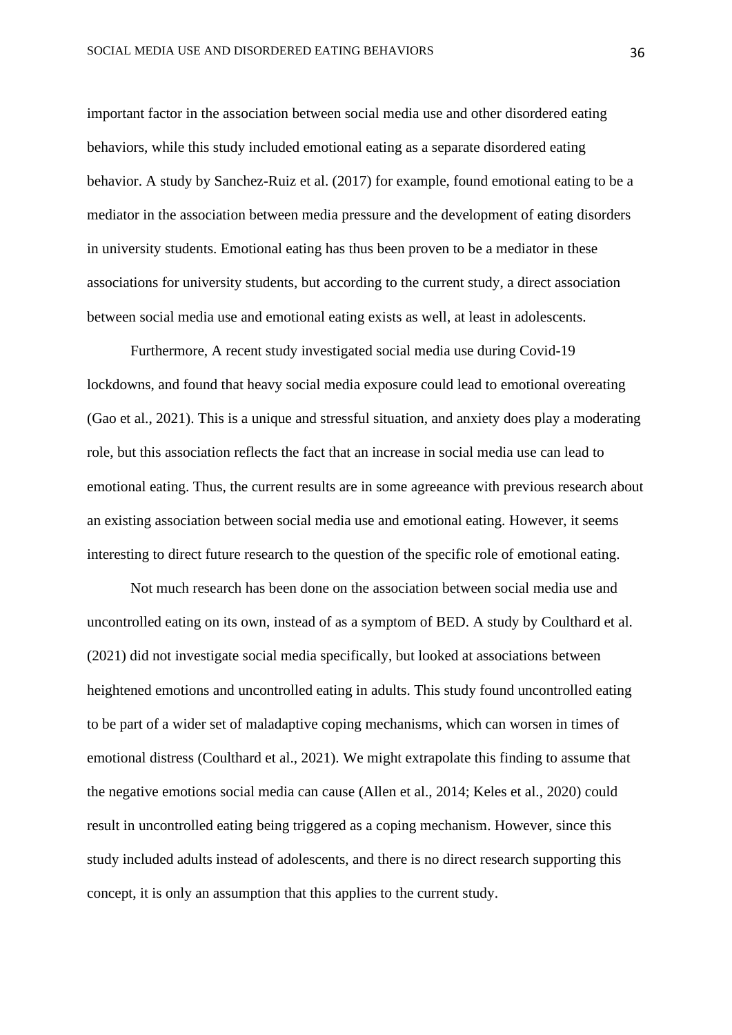important factor in the association between social media use and other disordered eating behaviors, while this study included emotional eating as a separate disordered eating behavior. A study by Sanchez-Ruiz et al. (2017) for example, found emotional eating to be a mediator in the association between media pressure and the development of eating disorders in university students. Emotional eating has thus been proven to be a mediator in these associations for university students, but according to the current study, a direct association between social media use and emotional eating exists as well, at least in adolescents.

Furthermore, A recent study investigated social media use during Covid-19 lockdowns, and found that heavy social media exposure could lead to emotional overeating (Gao et al., 2021). This is a unique and stressful situation, and anxiety does play a moderating role, but this association reflects the fact that an increase in social media use can lead to emotional eating. Thus, the current results are in some agreeance with previous research about an existing association between social media use and emotional eating. However, it seems interesting to direct future research to the question of the specific role of emotional eating.

Not much research has been done on the association between social media use and uncontrolled eating on its own, instead of as a symptom of BED. A study by Coulthard et al. (2021) did not investigate social media specifically, but looked at associations between heightened emotions and uncontrolled eating in adults. This study found uncontrolled eating to be part of a wider set of maladaptive coping mechanisms, which can worsen in times of emotional distress (Coulthard et al., 2021). We might extrapolate this finding to assume that the negative emotions social media can cause (Allen et al., 2014; Keles et al., 2020) could result in uncontrolled eating being triggered as a coping mechanism. However, since this study included adults instead of adolescents, and there is no direct research supporting this concept, it is only an assumption that this applies to the current study.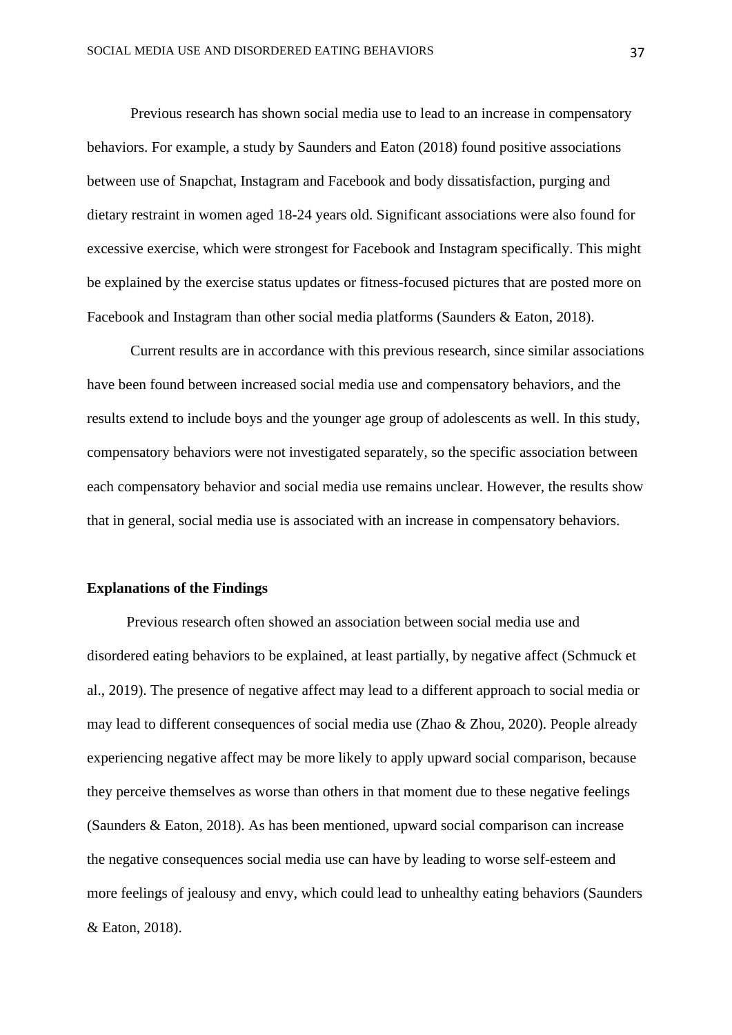Previous research has shown social media use to lead to an increase in compensatory behaviors. For example, a study by Saunders and Eaton (2018) found positive associations between use of Snapchat, Instagram and Facebook and body dissatisfaction, purging and dietary restraint in women aged 18-24 years old. Significant associations were also found for excessive exercise, which were strongest for Facebook and Instagram specifically. This might be explained by the exercise status updates or fitness-focused pictures that are posted more on Facebook and Instagram than other social media platforms (Saunders & Eaton, 2018).

Current results are in accordance with this previous research, since similar associations have been found between increased social media use and compensatory behaviors, and the results extend to include boys and the younger age group of adolescents as well. In this study, compensatory behaviors were not investigated separately, so the specific association between each compensatory behavior and social media use remains unclear. However, the results show that in general, social media use is associated with an increase in compensatory behaviors.

#### **Explanations of the Findings**

Previous research often showed an association between social media use and disordered eating behaviors to be explained, at least partially, by negative affect (Schmuck et al., 2019). The presence of negative affect may lead to a different approach to social media or may lead to different consequences of social media use (Zhao & Zhou, 2020). People already experiencing negative affect may be more likely to apply upward social comparison, because they perceive themselves as worse than others in that moment due to these negative feelings (Saunders & Eaton, 2018). As has been mentioned, upward social comparison can increase the negative consequences social media use can have by leading to worse self-esteem and more feelings of jealousy and envy, which could lead to unhealthy eating behaviors (Saunders & Eaton, 2018).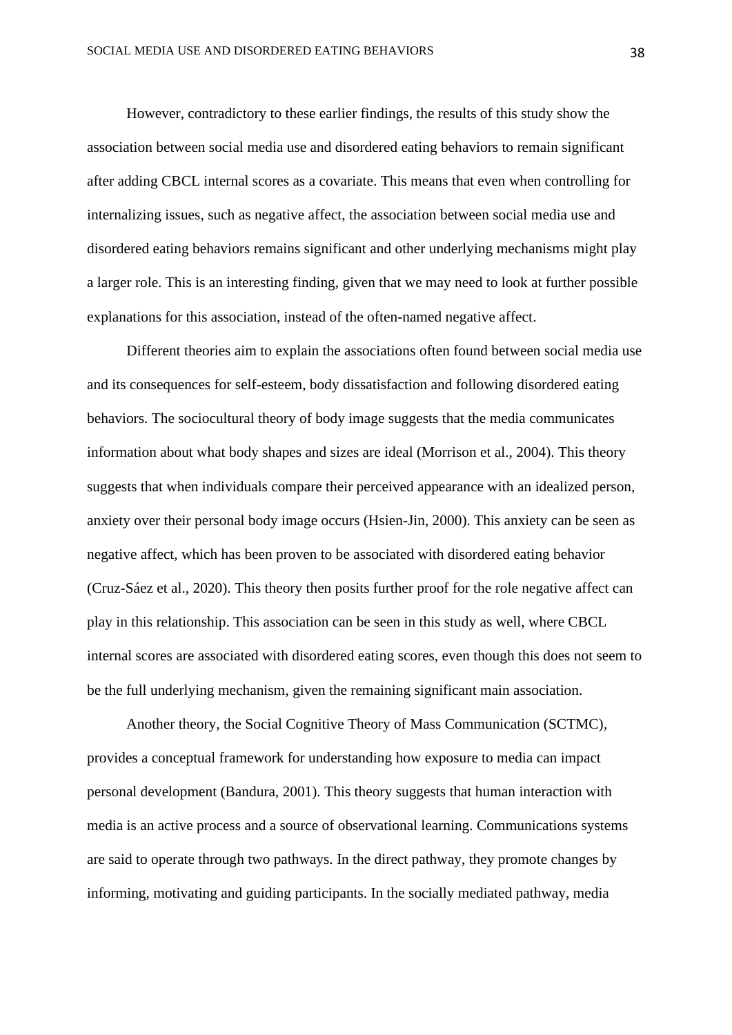However, contradictory to these earlier findings, the results of this study show the association between social media use and disordered eating behaviors to remain significant after adding CBCL internal scores as a covariate. This means that even when controlling for internalizing issues, such as negative affect, the association between social media use and disordered eating behaviors remains significant and other underlying mechanisms might play a larger role. This is an interesting finding, given that we may need to look at further possible explanations for this association, instead of the often-named negative affect.

Different theories aim to explain the associations often found between social media use and its consequences for self-esteem, body dissatisfaction and following disordered eating behaviors. The sociocultural theory of body image suggests that the media communicates information about what body shapes and sizes are ideal (Morrison et al., 2004). This theory suggests that when individuals compare their perceived appearance with an idealized person, anxiety over their personal body image occurs (Hsien-Jin, 2000). This anxiety can be seen as negative affect, which has been proven to be associated with disordered eating behavior (Cruz-Sáez et al., 2020). This theory then posits further proof for the role negative affect can play in this relationship. This association can be seen in this study as well, where CBCL internal scores are associated with disordered eating scores, even though this does not seem to be the full underlying mechanism, given the remaining significant main association.

Another theory, the Social Cognitive Theory of Mass Communication (SCTMC), provides a conceptual framework for understanding how exposure to media can impact personal development (Bandura, 2001). This theory suggests that human interaction with media is an active process and a source of observational learning. Communications systems are said to operate through two pathways. In the direct pathway, they promote changes by informing, motivating and guiding participants. In the socially mediated pathway, media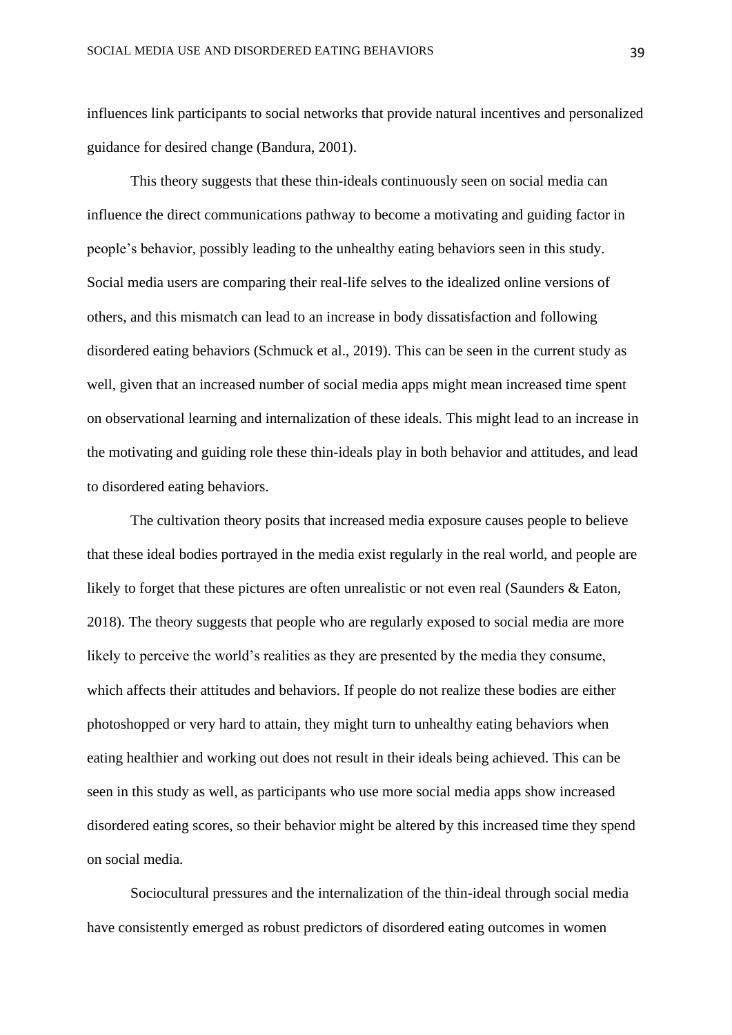influences link participants to social networks that provide natural incentives and personalized guidance for desired change (Bandura, 2001).

This theory suggests that these thin-ideals continuously seen on social media can influence the direct communications pathway to become a motivating and guiding factor in people's behavior, possibly leading to the unhealthy eating behaviors seen in this study. Social media users are comparing their real-life selves to the idealized online versions of others, and this mismatch can lead to an increase in body dissatisfaction and following disordered eating behaviors (Schmuck et al., 2019). This can be seen in the current study as well, given that an increased number of social media apps might mean increased time spent on observational learning and internalization of these ideals. This might lead to an increase in the motivating and guiding role these thin-ideals play in both behavior and attitudes, and lead to disordered eating behaviors.

The cultivation theory posits that increased media exposure causes people to believe that these ideal bodies portrayed in the media exist regularly in the real world, and people are likely to forget that these pictures are often unrealistic or not even real (Saunders & Eaton, 2018). The theory suggests that people who are regularly exposed to social media are more likely to perceive the world's realities as they are presented by the media they consume, which affects their attitudes and behaviors. If people do not realize these bodies are either photoshopped or very hard to attain, they might turn to unhealthy eating behaviors when eating healthier and working out does not result in their ideals being achieved. This can be seen in this study as well, as participants who use more social media apps show increased disordered eating scores, so their behavior might be altered by this increased time they spend on social media.

Sociocultural pressures and the internalization of the thin-ideal through social media have consistently emerged as robust predictors of disordered eating outcomes in women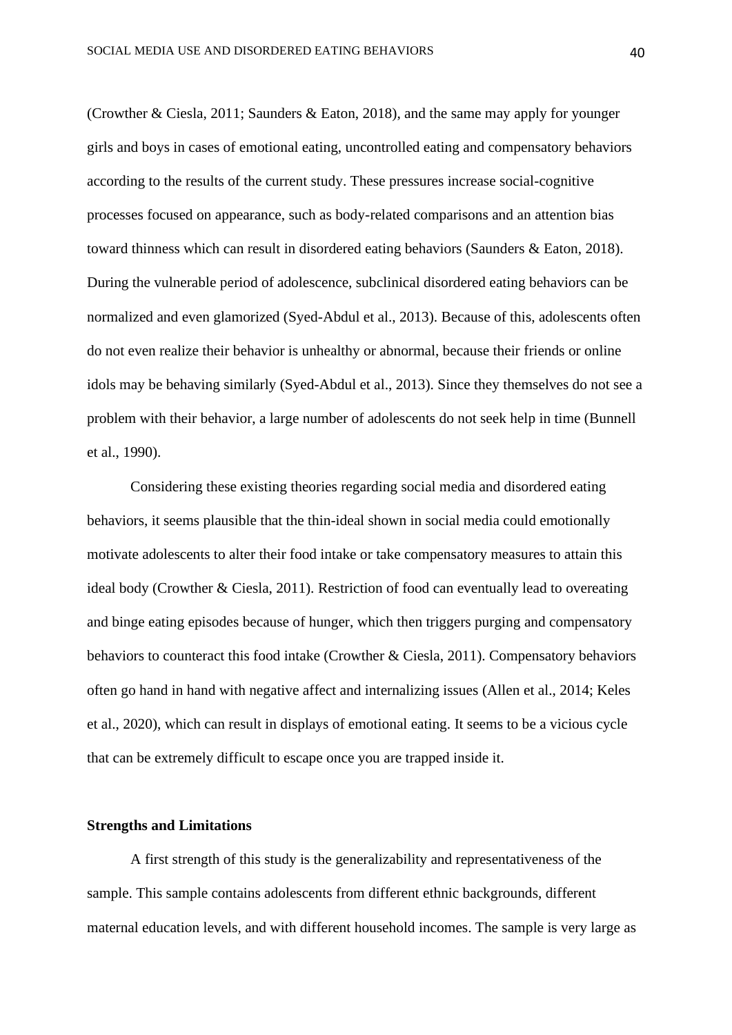(Crowther & Ciesla, 2011; Saunders & Eaton, 2018), and the same may apply for younger girls and boys in cases of emotional eating, uncontrolled eating and compensatory behaviors according to the results of the current study. These pressures increase social-cognitive processes focused on appearance, such as body-related comparisons and an attention bias toward thinness which can result in disordered eating behaviors (Saunders & Eaton, 2018). During the vulnerable period of adolescence, subclinical disordered eating behaviors can be normalized and even glamorized (Syed-Abdul et al., 2013). Because of this, adolescents often do not even realize their behavior is unhealthy or abnormal, because their friends or online idols may be behaving similarly (Syed-Abdul et al., 2013). Since they themselves do not see a problem with their behavior, a large number of adolescents do not seek help in time (Bunnell et al., 1990).

Considering these existing theories regarding social media and disordered eating behaviors, it seems plausible that the thin-ideal shown in social media could emotionally motivate adolescents to alter their food intake or take compensatory measures to attain this ideal body (Crowther & Ciesla, 2011). Restriction of food can eventually lead to overeating and binge eating episodes because of hunger, which then triggers purging and compensatory behaviors to counteract this food intake (Crowther & Ciesla, 2011). Compensatory behaviors often go hand in hand with negative affect and internalizing issues (Allen et al., 2014; Keles et al., 2020), which can result in displays of emotional eating. It seems to be a vicious cycle that can be extremely difficult to escape once you are trapped inside it.

#### **Strengths and Limitations**

A first strength of this study is the generalizability and representativeness of the sample. This sample contains adolescents from different ethnic backgrounds, different maternal education levels, and with different household incomes. The sample is very large as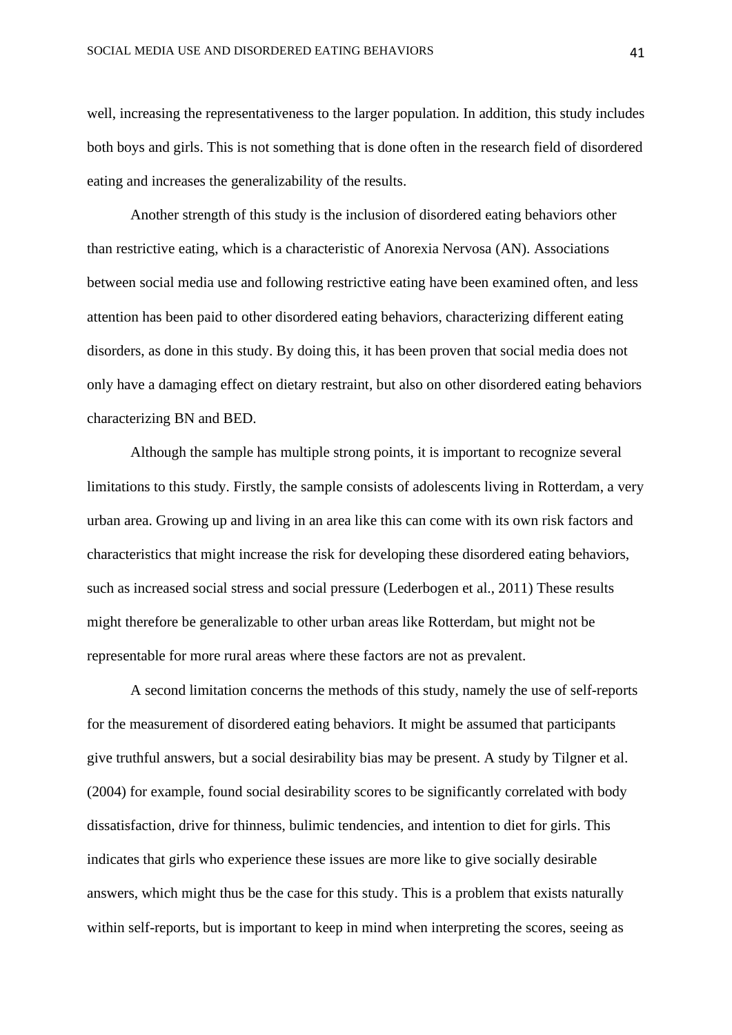well, increasing the representativeness to the larger population. In addition, this study includes both boys and girls. This is not something that is done often in the research field of disordered eating and increases the generalizability of the results.

Another strength of this study is the inclusion of disordered eating behaviors other than restrictive eating, which is a characteristic of Anorexia Nervosa (AN). Associations between social media use and following restrictive eating have been examined often, and less attention has been paid to other disordered eating behaviors, characterizing different eating disorders, as done in this study. By doing this, it has been proven that social media does not only have a damaging effect on dietary restraint, but also on other disordered eating behaviors characterizing BN and BED.

Although the sample has multiple strong points, it is important to recognize several limitations to this study. Firstly, the sample consists of adolescents living in Rotterdam, a very urban area. Growing up and living in an area like this can come with its own risk factors and characteristics that might increase the risk for developing these disordered eating behaviors, such as increased social stress and social pressure (Lederbogen et al., 2011) These results might therefore be generalizable to other urban areas like Rotterdam, but might not be representable for more rural areas where these factors are not as prevalent.

A second limitation concerns the methods of this study, namely the use of self-reports for the measurement of disordered eating behaviors. It might be assumed that participants give truthful answers, but a social desirability bias may be present. A study by Tilgner et al. (2004) for example, found social desirability scores to be significantly correlated with body dissatisfaction, drive for thinness, bulimic tendencies, and intention to diet for girls. This indicates that girls who experience these issues are more like to give socially desirable answers, which might thus be the case for this study. This is a problem that exists naturally within self-reports, but is important to keep in mind when interpreting the scores, seeing as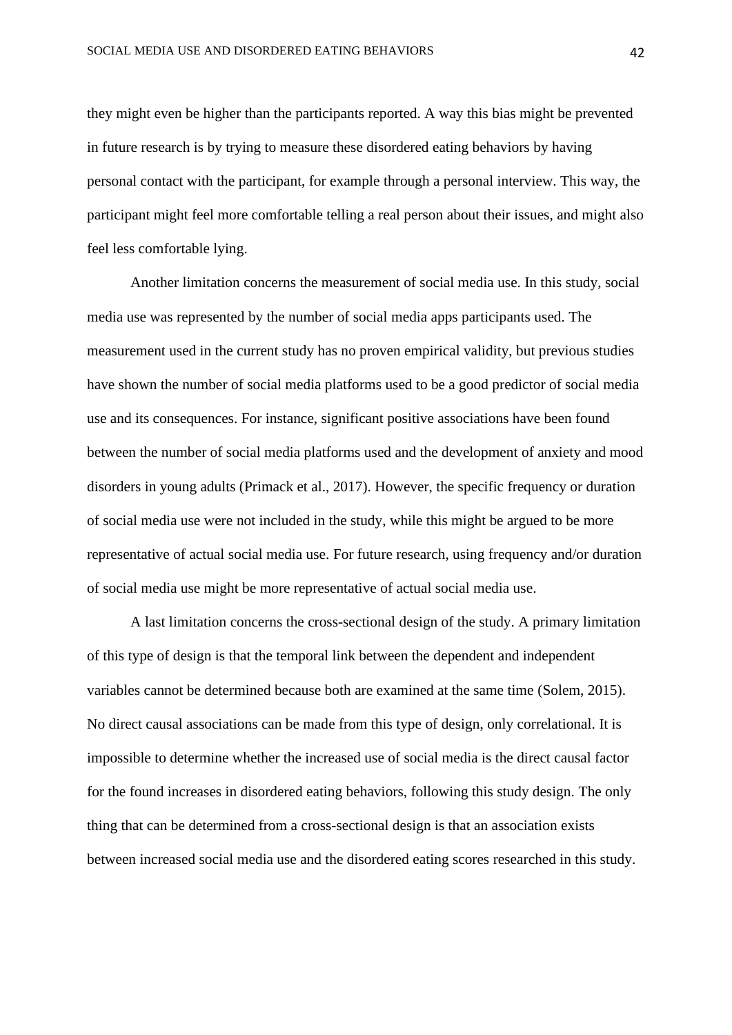they might even be higher than the participants reported. A way this bias might be prevented in future research is by trying to measure these disordered eating behaviors by having personal contact with the participant, for example through a personal interview. This way, the participant might feel more comfortable telling a real person about their issues, and might also feel less comfortable lying.

Another limitation concerns the measurement of social media use. In this study, social media use was represented by the number of social media apps participants used. The measurement used in the current study has no proven empirical validity, but previous studies have shown the number of social media platforms used to be a good predictor of social media use and its consequences. For instance, significant positive associations have been found between the number of social media platforms used and the development of anxiety and mood disorders in young adults (Primack et al., 2017). However, the specific frequency or duration of social media use were not included in the study, while this might be argued to be more representative of actual social media use. For future research, using frequency and/or duration of social media use might be more representative of actual social media use.

A last limitation concerns the cross-sectional design of the study. A primary limitation of this type of design is that the temporal link between the dependent and independent variables cannot be determined because both are examined at the same time (Solem, 2015). No direct causal associations can be made from this type of design, only correlational. It is impossible to determine whether the increased use of social media is the direct causal factor for the found increases in disordered eating behaviors, following this study design. The only thing that can be determined from a cross-sectional design is that an association exists between increased social media use and the disordered eating scores researched in this study.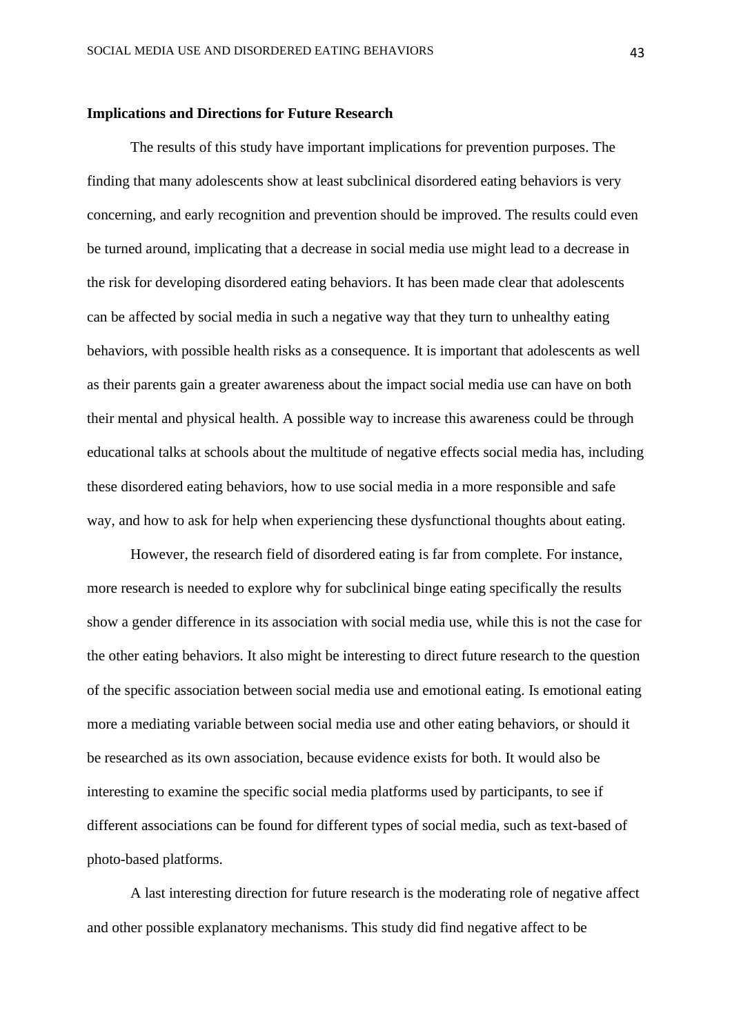#### **Implications and Directions for Future Research**

The results of this study have important implications for prevention purposes. The finding that many adolescents show at least subclinical disordered eating behaviors is very concerning, and early recognition and prevention should be improved. The results could even be turned around, implicating that a decrease in social media use might lead to a decrease in the risk for developing disordered eating behaviors. It has been made clear that adolescents can be affected by social media in such a negative way that they turn to unhealthy eating behaviors, with possible health risks as a consequence. It is important that adolescents as well as their parents gain a greater awareness about the impact social media use can have on both their mental and physical health. A possible way to increase this awareness could be through educational talks at schools about the multitude of negative effects social media has, including these disordered eating behaviors, how to use social media in a more responsible and safe way, and how to ask for help when experiencing these dysfunctional thoughts about eating.

However, the research field of disordered eating is far from complete. For instance, more research is needed to explore why for subclinical binge eating specifically the results show a gender difference in its association with social media use, while this is not the case for the other eating behaviors. It also might be interesting to direct future research to the question of the specific association between social media use and emotional eating. Is emotional eating more a mediating variable between social media use and other eating behaviors, or should it be researched as its own association, because evidence exists for both. It would also be interesting to examine the specific social media platforms used by participants, to see if different associations can be found for different types of social media, such as text-based of photo-based platforms.

A last interesting direction for future research is the moderating role of negative affect and other possible explanatory mechanisms. This study did find negative affect to be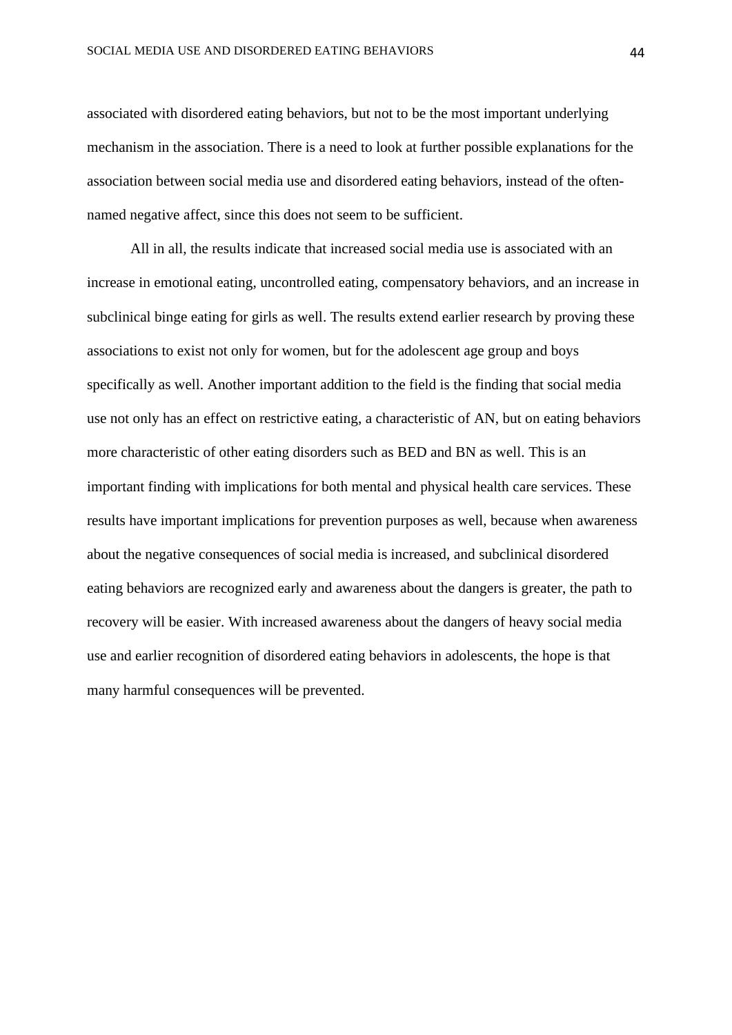associated with disordered eating behaviors, but not to be the most important underlying mechanism in the association. There is a need to look at further possible explanations for the association between social media use and disordered eating behaviors, instead of the oftennamed negative affect, since this does not seem to be sufficient.

All in all, the results indicate that increased social media use is associated with an increase in emotional eating, uncontrolled eating, compensatory behaviors, and an increase in subclinical binge eating for girls as well. The results extend earlier research by proving these associations to exist not only for women, but for the adolescent age group and boys specifically as well. Another important addition to the field is the finding that social media use not only has an effect on restrictive eating, a characteristic of AN, but on eating behaviors more characteristic of other eating disorders such as BED and BN as well. This is an important finding with implications for both mental and physical health care services. These results have important implications for prevention purposes as well, because when awareness about the negative consequences of social media is increased, and subclinical disordered eating behaviors are recognized early and awareness about the dangers is greater, the path to recovery will be easier. With increased awareness about the dangers of heavy social media use and earlier recognition of disordered eating behaviors in adolescents, the hope is that many harmful consequences will be prevented.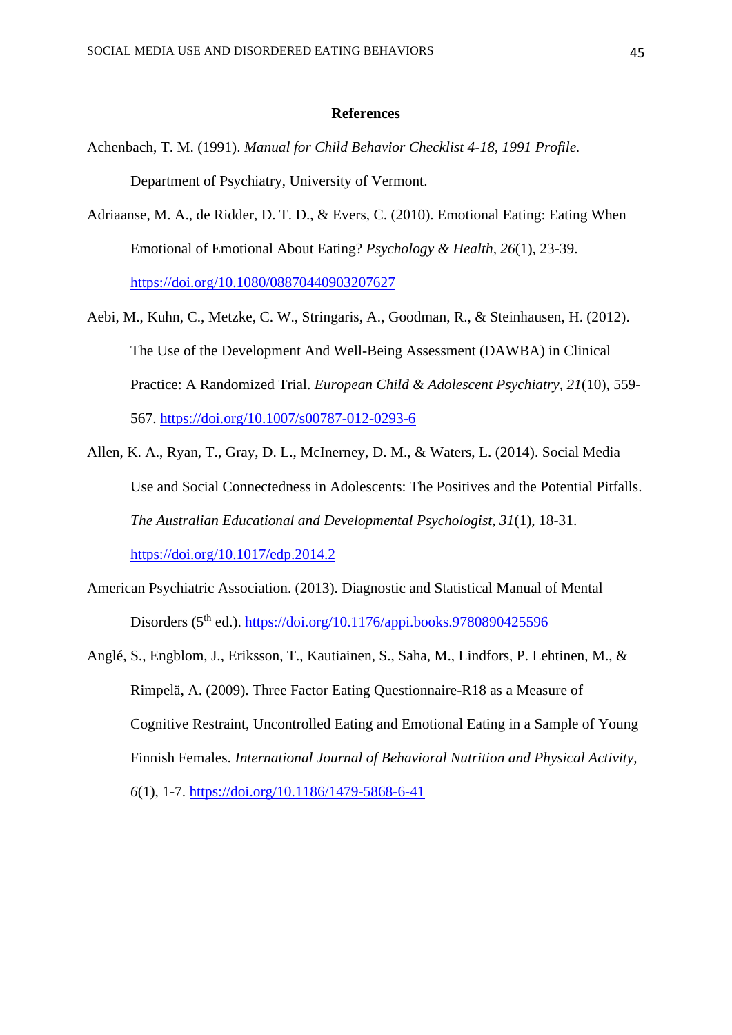#### **References**

- Achenbach, T. M. (1991). *Manual for Child Behavior Checklist 4-18, 1991 Profile.* Department of Psychiatry, University of Vermont.
- Adriaanse, M. A., de Ridder, D. T. D., & Evers, C. (2010). Emotional Eating: Eating When Emotional of Emotional About Eating? *Psychology & Health, 26*(1), 23-39. <https://doi.org/10.1080/08870440903207627>
- Aebi, M., Kuhn, C., Metzke, C. W., Stringaris, A., Goodman, R., & Steinhausen, H. (2012). The Use of the Development And Well-Being Assessment (DAWBA) in Clinical Practice: A Randomized Trial. *European Child & Adolescent Psychiatry, 21*(10), 559- 567.<https://doi.org/10.1007/s00787-012-0293-6>
- Allen, K. A., Ryan, T., Gray, D. L., McInerney, D. M., & Waters, L. (2014). Social Media Use and Social Connectedness in Adolescents: The Positives and the Potential Pitfalls. *The Australian Educational and Developmental Psychologist, 31*(1), 18-31. <https://doi.org/10.1017/edp.2014.2>
- American Psychiatric Association. (2013). Diagnostic and Statistical Manual of Mental Disorders ( $5<sup>th</sup>$  ed.).<https://doi.org/10.1176/appi.books.9780890425596>
- Anglé, S., Engblom, J., Eriksson, T., Kautiainen, S., Saha, M., Lindfors, P. Lehtinen, M., & Rimpelä, A. (2009). Three Factor Eating Questionnaire-R18 as a Measure of Cognitive Restraint, Uncontrolled Eating and Emotional Eating in a Sample of Young Finnish Females. *International Journal of Behavioral Nutrition and Physical Activity, 6*(1), 1-7.<https://doi.org/10.1186/1479-5868-6-41>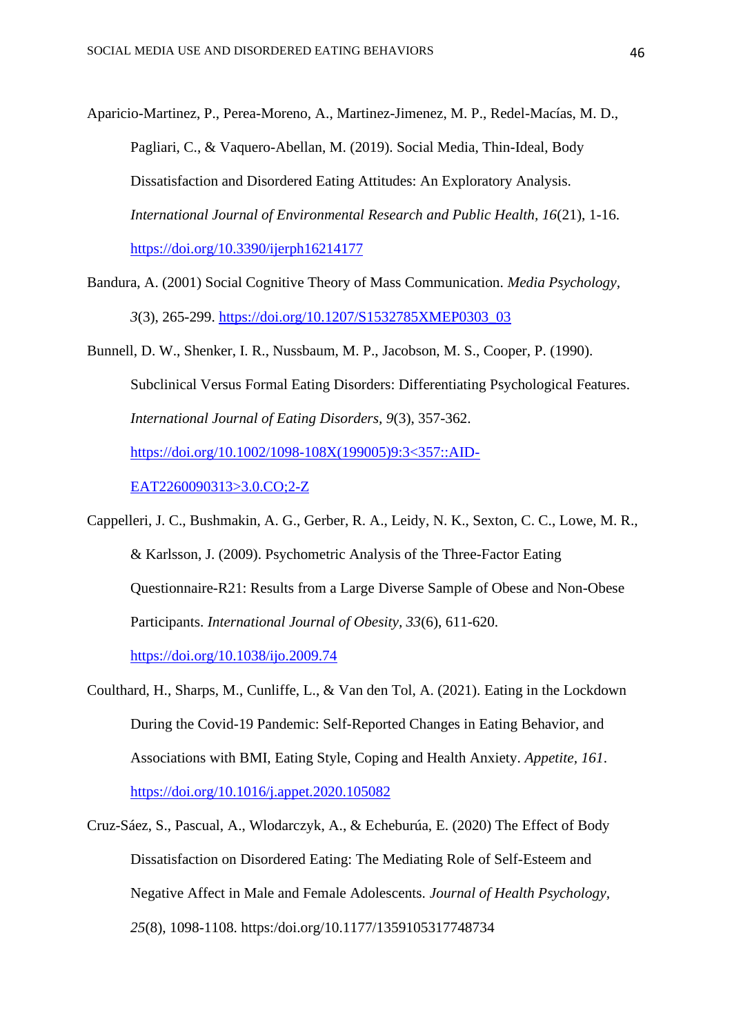Aparicio-Martinez, P., Perea-Moreno, A., Martinez-Jimenez, M. P., Redel-Macías, M. D., Pagliari, C., & Vaquero-Abellan, M. (2019). Social Media, Thin-Ideal, Body Dissatisfaction and Disordered Eating Attitudes: An Exploratory Analysis. *International Journal of Environmental Research and Public Health, 16*(21), 1-16. <https://doi.org/10.3390/ijerph16214177>

- Bandura, A. (2001) Social Cognitive Theory of Mass Communication. *Media Psychology, 3*(3), 265-299. [https://doi.org/10.1207/S1532785XMEP0303\\_03](https://doi.org/10.1207/S1532785XMEP0303_03)
- Bunnell, D. W., Shenker, I. R., Nussbaum, M. P., Jacobson, M. S., Cooper, P. (1990). Subclinical Versus Formal Eating Disorders: Differentiating Psychological Features. *International Journal of Eating Disorders, 9*(3), 357-362. [https://doi.org/10.1002/1098-108X\(199005\)9:3<357::AID-](https://doi.org/10.1002/1098-108X(199005)9:3%3c357::AID-EAT2260090313%3e3.0.CO;2-Z)[EAT2260090313>3.0.CO;2-Z](https://doi.org/10.1002/1098-108X(199005)9:3%3c357::AID-EAT2260090313%3e3.0.CO;2-Z)
- Cappelleri, J. C., Bushmakin, A. G., Gerber, R. A., Leidy, N. K., Sexton, C. C., Lowe, M. R., & Karlsson, J. (2009). Psychometric Analysis of the Three-Factor Eating Questionnaire-R21: Results from a Large Diverse Sample of Obese and Non-Obese Participants. *International Journal of Obesity, 33*(6), 611-620. <https://doi.org/10.1038/ijo.2009.74>
- Coulthard, H., Sharps, M., Cunliffe, L., & Van den Tol, A. (2021). Eating in the Lockdown During the Covid-19 Pandemic: Self-Reported Changes in Eating Behavior, and Associations with BMI, Eating Style, Coping and Health Anxiety. *Appetite, 161*. <https://doi.org/10.1016/j.appet.2020.105082>
- Cruz-Sáez, S., Pascual, A., Wlodarczyk, A., & Echeburúa, E. (2020) The Effect of Body Dissatisfaction on Disordered Eating: The Mediating Role of Self-Esteem and Negative Affect in Male and Female Adolescents. *Journal of Health Psychology, 25*(8), 1098-1108. https:/doi.org/10.1177/1359105317748734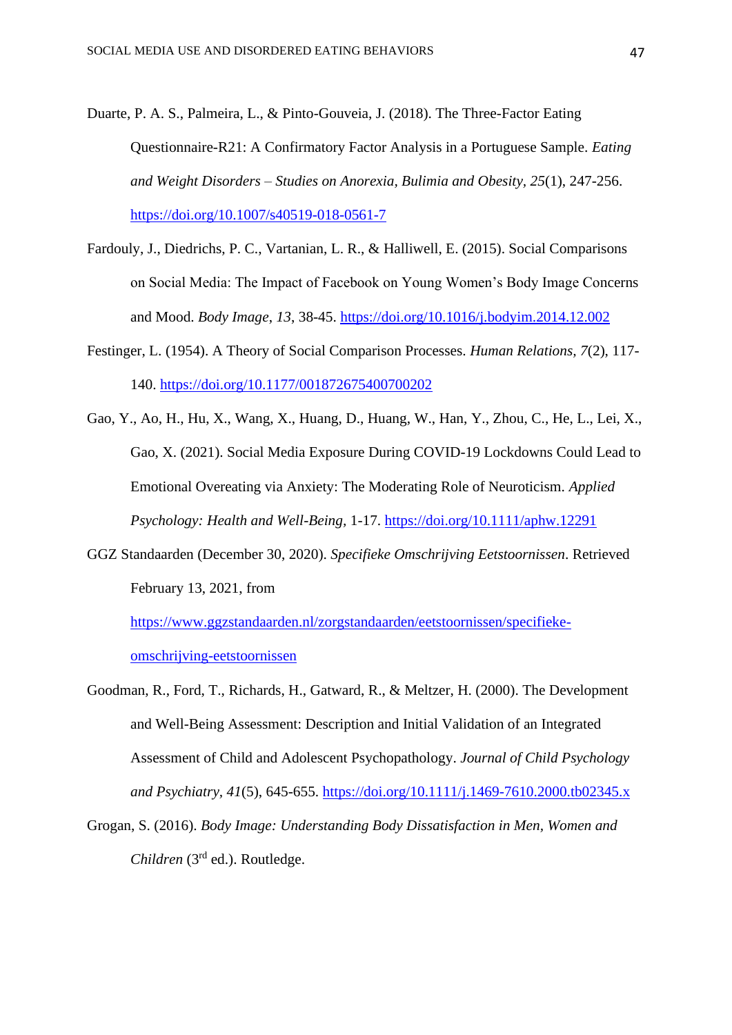- Duarte, P. A. S., Palmeira, L., & Pinto-Gouveia, J. (2018). The Three-Factor Eating Questionnaire-R21: A Confirmatory Factor Analysis in a Portuguese Sample. *Eating and Weight Disorders – Studies on Anorexia, Bulimia and Obesity, 25*(1), 247-256. <https://doi.org/10.1007/s40519-018-0561-7>
- Fardouly, J., Diedrichs, P. C., Vartanian, L. R., & Halliwell, E. (2015). Social Comparisons on Social Media: The Impact of Facebook on Young Women's Body Image Concerns and Mood. *Body Image*, *13*, 38-45.<https://doi.org/10.1016/j.bodyim.2014.12.002>
- Festinger, L. (1954). A Theory of Social Comparison Processes. *Human Relations, 7*(2), 117- 140.<https://doi.org/10.1177/001872675400700202>
- Gao, Y., Ao, H., Hu, X., Wang, X., Huang, D., Huang, W., Han, Y., Zhou, C., He, L., Lei, X., Gao, X. (2021). Social Media Exposure During COVID-19 Lockdowns Could Lead to Emotional Overeating via Anxiety: The Moderating Role of Neuroticism. *Applied Psychology: Health and Well-Being,* 1-17.<https://doi.org/10.1111/aphw.12291>
- GGZ Standaarden (December 30, 2020). *Specifieke Omschrijving Eetstoornissen*. Retrieved February 13, 2021, from

[https://www.ggzstandaarden.nl/zorgstandaarden/eetstoornissen/specifieke](https://www.ggzstandaarden.nl/zorgstandaarden/eetstoornissen/specifieke-omschrijving-eetstoornissen)[omschrijving-eetstoornissen](https://www.ggzstandaarden.nl/zorgstandaarden/eetstoornissen/specifieke-omschrijving-eetstoornissen)

- Goodman, R., Ford, T., Richards, H., Gatward, R., & Meltzer, H. (2000). The Development and Well-Being Assessment: Description and Initial Validation of an Integrated Assessment of Child and Adolescent Psychopathology. *Journal of Child Psychology and Psychiatry, 41*(5), 645-655.<https://doi.org/10.1111/j.1469-7610.2000.tb02345.x>
- Grogan, S. (2016). *Body Image: Understanding Body Dissatisfaction in Men, Women and Children* (3rd ed.). Routledge.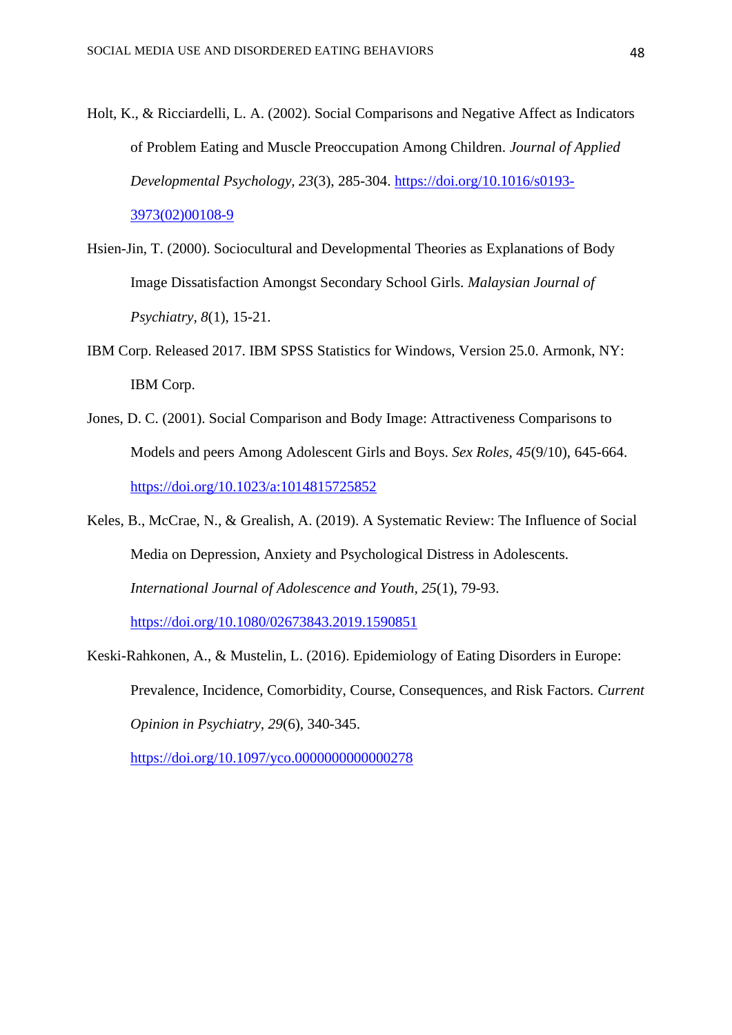- Holt, K., & Ricciardelli, L. A. (2002). Social Comparisons and Negative Affect as Indicators of Problem Eating and Muscle Preoccupation Among Children. *Journal of Applied Developmental Psychology, 23*(3), 285-304. [https://doi.org/10.1016/s0193-](https://doi.org/10.1016/s0193-3973(02)00108-9) [3973\(02\)00108-9](https://doi.org/10.1016/s0193-3973(02)00108-9)
- Hsien-Jin, T. (2000). Sociocultural and Developmental Theories as Explanations of Body Image Dissatisfaction Amongst Secondary School Girls. *Malaysian Journal of Psychiatry, 8*(1), 15-21.
- IBM Corp. Released 2017. IBM SPSS Statistics for Windows, Version 25.0. Armonk, NY: IBM Corp.
- Jones, D. C. (2001). Social Comparison and Body Image: Attractiveness Comparisons to Models and peers Among Adolescent Girls and Boys. *Sex Roles, 45*(9/10), 645-664. <https://doi.org/10.1023/a:1014815725852>
- Keles, B., McCrae, N., & Grealish, A. (2019). A Systematic Review: The Influence of Social Media on Depression, Anxiety and Psychological Distress in Adolescents. *International Journal of Adolescence and Youth, 25*(1), 79-93. <https://doi.org/10.1080/02673843.2019.1590851>
- Keski-Rahkonen, A., & Mustelin, L. (2016). Epidemiology of Eating Disorders in Europe: Prevalence, Incidence, Comorbidity, Course, Consequences, and Risk Factors. *Current Opinion in Psychiatry, 29*(6), 340-345.

<https://doi.org/10.1097/yco.0000000000000278>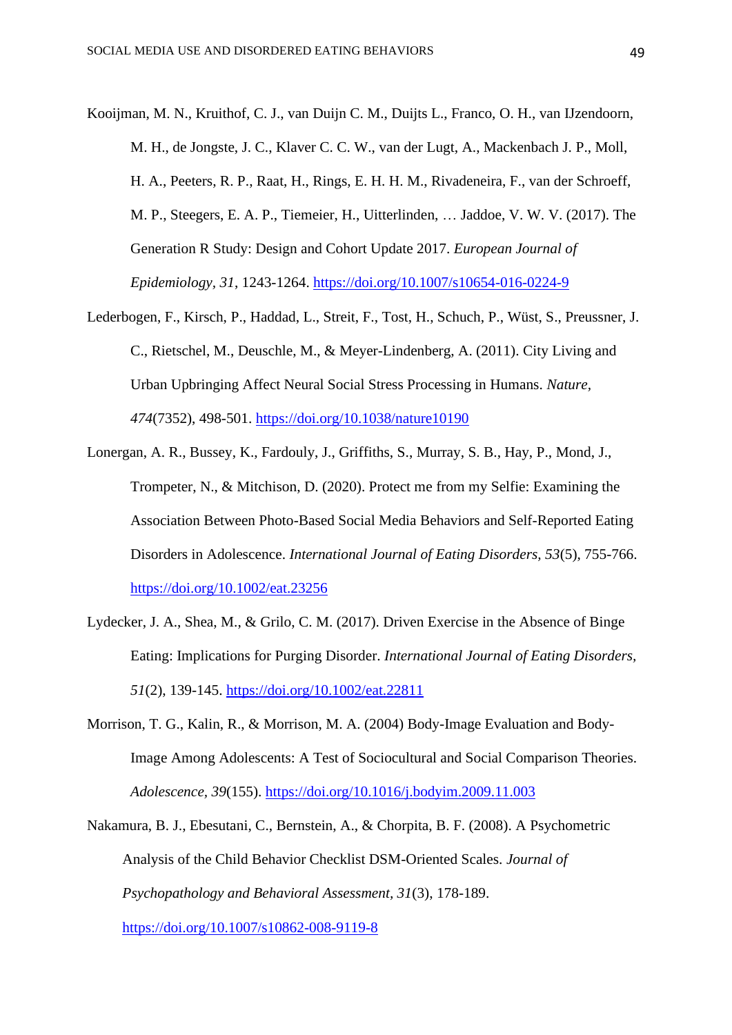Kooijman, M. N., Kruithof, C. J., van Duijn C. M., Duijts L., Franco, O. H., van IJzendoorn, M. H., de Jongste, J. C., Klaver C. C. W., van der Lugt, A., Mackenbach J. P., Moll, H. A., Peeters, R. P., Raat, H., Rings, E. H. H. M., Rivadeneira, F., van der Schroeff, M. P., Steegers, E. A. P., Tiemeier, H., Uitterlinden, … Jaddoe, V. W. V. (2017). The Generation R Study: Design and Cohort Update 2017. *European Journal of Epidemiology, 31*, 1243-1264.<https://doi.org/10.1007/s10654-016-0224-9>

- Lederbogen, F., Kirsch, P., Haddad, L., Streit, F., Tost, H., Schuch, P., Wüst, S., Preussner, J. C., Rietschel, M., Deuschle, M., & Meyer-Lindenberg, A. (2011). City Living and Urban Upbringing Affect Neural Social Stress Processing in Humans. *Nature, 474*(7352), 498-501. <https://doi.org/10.1038/nature10190>
- Lonergan, A. R., Bussey, K., Fardouly, J., Griffiths, S., Murray, S. B., Hay, P., Mond, J., Trompeter, N., & Mitchison, D. (2020). Protect me from my Selfie: Examining the Association Between Photo-Based Social Media Behaviors and Self-Reported Eating Disorders in Adolescence. *International Journal of Eating Disorders, 53*(5), 755-766. <https://doi.org/10.1002/eat.23256>
- Lydecker, J. A., Shea, M., & Grilo, C. M. (2017). Driven Exercise in the Absence of Binge Eating: Implications for Purging Disorder. *International Journal of Eating Disorders, 51*(2), 139-145.<https://doi.org/10.1002/eat.22811>
- Morrison, T. G., Kalin, R., & Morrison, M. A. (2004) Body-Image Evaluation and Body-Image Among Adolescents: A Test of Sociocultural and Social Comparison Theories. *Adolescence, 39*(155). <https://doi.org/10.1016/j.bodyim.2009.11.003>
- Nakamura, B. J., Ebesutani, C., Bernstein, A., & Chorpita, B. F. (2008). A Psychometric Analysis of the Child Behavior Checklist DSM-Oriented Scales. *Journal of Psychopathology and Behavioral Assessment, 31*(3), 178-189. <https://doi.org/10.1007/s10862-008-9119-8>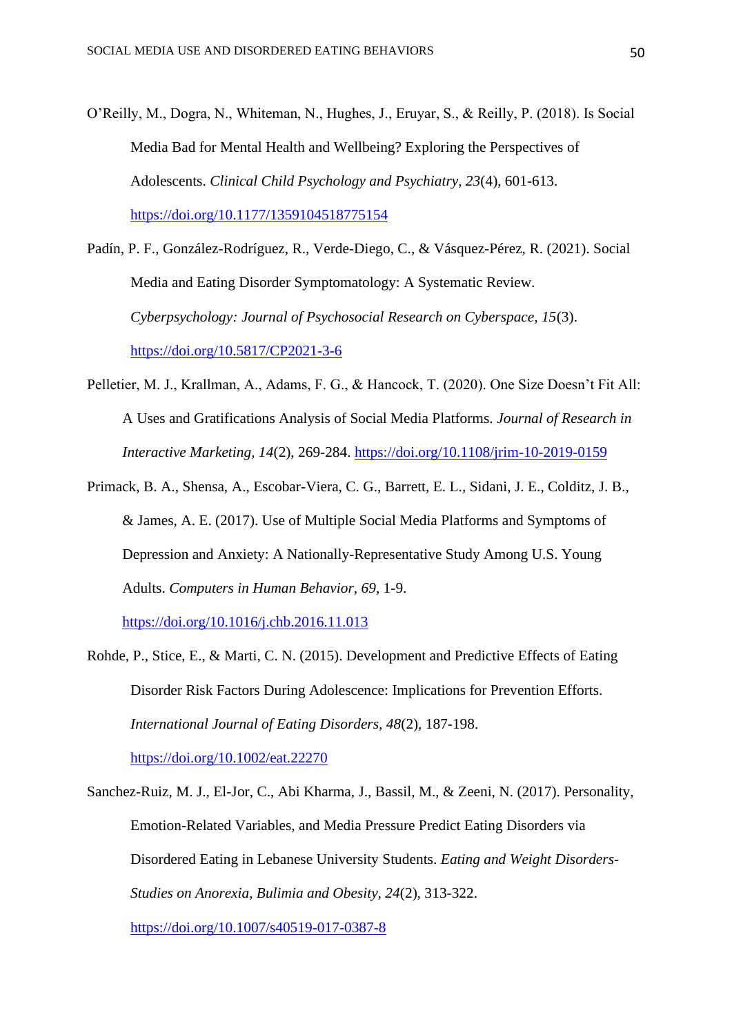O'Reilly, M., Dogra, N., Whiteman, N., Hughes, J., Eruyar, S., & Reilly, P. (2018). Is Social Media Bad for Mental Health and Wellbeing? Exploring the Perspectives of Adolescents. *Clinical Child Psychology and Psychiatry, 23*(4), 601-613. <https://doi.org/10.1177/1359104518775154>

Padín, P. F., González-Rodríguez, R., Verde-Diego, C., & Vásquez-Pérez, R. (2021). Social Media and Eating Disorder Symptomatology: A Systematic Review. *Cyberpsychology: Journal of Psychosocial Research on Cyberspace, 15*(3). <https://doi.org/10.5817/CP2021-3-6>

- Pelletier, M. J., Krallman, A., Adams, F. G., & Hancock, T. (2020). One Size Doesn't Fit All: A Uses and Gratifications Analysis of Social Media Platforms. *Journal of Research in Interactive Marketing, 14*(2), 269-284.<https://doi.org/10.1108/jrim-10-2019-0159>
- Primack, B. A., Shensa, A., Escobar-Viera, C. G., Barrett, E. L., Sidani, J. E., Colditz, J. B., & James, A. E. (2017). Use of Multiple Social Media Platforms and Symptoms of Depression and Anxiety: A Nationally-Representative Study Among U.S. Young Adults. *Computers in Human Behavior, 69*, 1-9.

<https://doi.org/10.1016/j.chb.2016.11.013>

Rohde, P., Stice, E., & Marti, C. N. (2015). Development and Predictive Effects of Eating Disorder Risk Factors During Adolescence: Implications for Prevention Efforts. *International Journal of Eating Disorders, 48*(2), 187-198.

<https://doi.org/10.1002/eat.22270>

Sanchez-Ruiz, M. J., El-Jor, C., Abi Kharma, J., Bassil, M., & Zeeni, N. (2017). Personality, Emotion-Related Variables, and Media Pressure Predict Eating Disorders via Disordered Eating in Lebanese University Students. *Eating and Weight Disorders-Studies on Anorexia, Bulimia and Obesity, 24*(2), 313-322. <https://doi.org/10.1007/s40519-017-0387-8>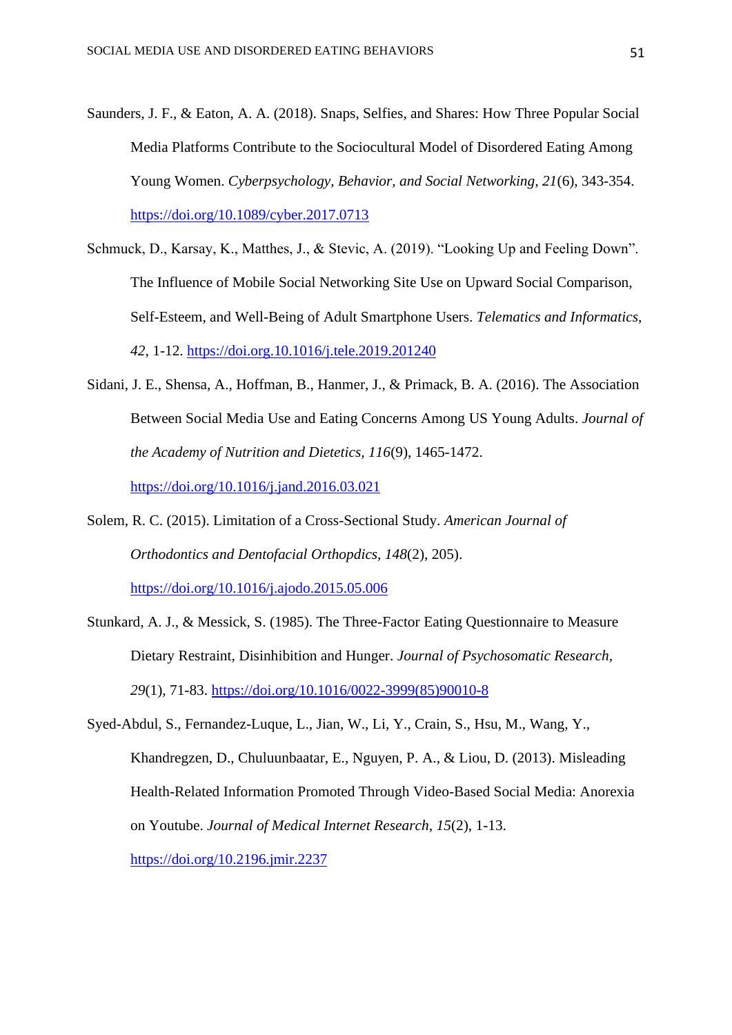- Saunders, J. F., & Eaton, A. A. (2018). Snaps, Selfies, and Shares: How Three Popular Social Media Platforms Contribute to the Sociocultural Model of Disordered Eating Among Young Women. *Cyberpsychology, Behavior, and Social Networking, 21*(6), 343-354. <https://doi.org/10.1089/cyber.2017.0713>
- Schmuck, D., Karsay, K., Matthes, J., & Stevic, A. (2019). "Looking Up and Feeling Down". The Influence of Mobile Social Networking Site Use on Upward Social Comparison, Self-Esteem, and Well-Being of Adult Smartphone Users. *Telematics and Informatics, 42*, 1-12.<https://doi.org.10.1016/j.tele.2019.201240>
- Sidani, J. E., Shensa, A., Hoffman, B., Hanmer, J., & Primack, B. A. (2016). The Association Between Social Media Use and Eating Concerns Among US Young Adults. *Journal of the Academy of Nutrition and Dietetics, 116*(9), 1465-1472. <https://doi.org/10.1016/j.jand.2016.03.021>
- Solem, R. C. (2015). Limitation of a Cross-Sectional Study. *American Journal of Orthodontics and Dentofacial Orthopdics, 148*(2), 205). <https://doi.org/10.1016/j.ajodo.2015.05.006>
- Stunkard, A. J., & Messick, S. (1985). The Three-Factor Eating Questionnaire to Measure Dietary Restraint, Disinhibition and Hunger. *Journal of Psychosomatic Research, 29*(1), 71-83. [https://doi.org/10.1016/0022-3999\(85\)90010-8](https://doi.org/10.1016/0022-3999(85)90010-8)
- Syed-Abdul, S., Fernandez-Luque, L., Jian, W., Li, Y., Crain, S., Hsu, M., Wang, Y., Khandregzen, D., Chuluunbaatar, E., Nguyen, P. A., & Liou, D. (2013). Misleading Health-Related Information Promoted Through Video-Based Social Media: Anorexia on Youtube. *Journal of Medical Internet Research, 15*(2), 1-13. <https://doi.org/10.2196.jmir.2237>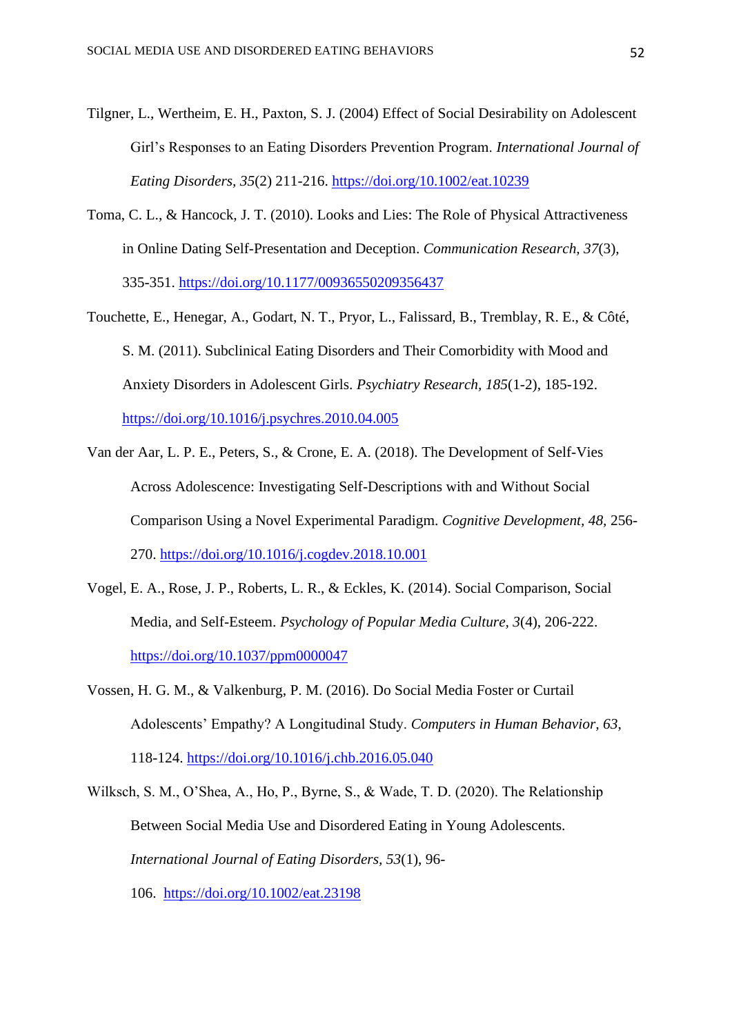- Tilgner, L., Wertheim, E. H., Paxton, S. J. (2004) Effect of Social Desirability on Adolescent Girl's Responses to an Eating Disorders Prevention Program. *International Journal of Eating Disorders, 35*(2) 211-216.<https://doi.org/10.1002/eat.10239>
- Toma, C. L., & Hancock, J. T. (2010). Looks and Lies: The Role of Physical Attractiveness in Online Dating Self-Presentation and Deception. *Communication Research, 37*(3), 335-351.<https://doi.org/10.1177/00936550209356437>
- Touchette, E., Henegar, A., Godart, N. T., Pryor, L., Falissard, B., Tremblay, R. E., & Côté, S. M. (2011). Subclinical Eating Disorders and Their Comorbidity with Mood and Anxiety Disorders in Adolescent Girls. *Psychiatry Research, 185*(1-2), 185-192. <https://doi.org/10.1016/j.psychres.2010.04.005>
- Van der Aar, L. P. E., Peters, S., & Crone, E. A. (2018). The Development of Self-Vies Across Adolescence: Investigating Self-Descriptions with and Without Social Comparison Using a Novel Experimental Paradigm. *Cognitive Development, 48,* 256- 270.<https://doi.org/10.1016/j.cogdev.2018.10.001>
- Vogel, E. A., Rose, J. P., Roberts, L. R., & Eckles, K. (2014). Social Comparison, Social Media, and Self-Esteem. *Psychology of Popular Media Culture, 3*(4), 206-222. <https://doi.org/10.1037/ppm0000047>
- Vossen, H. G. M., & Valkenburg, P. M. (2016). Do Social Media Foster or Curtail Adolescents' Empathy? A Longitudinal Study. *Computers in Human Behavior, 63*, 118-124.<https://doi.org/10.1016/j.chb.2016.05.040>
- Wilksch, S. M., O'Shea, A., Ho, P., Byrne, S., & Wade, T. D. (2020). The Relationship Between Social Media Use and Disordered Eating in Young Adolescents. *International Journal of Eating Disorders, 53*(1), 96- 106. <https://doi.org/10.1002/eat.23198>